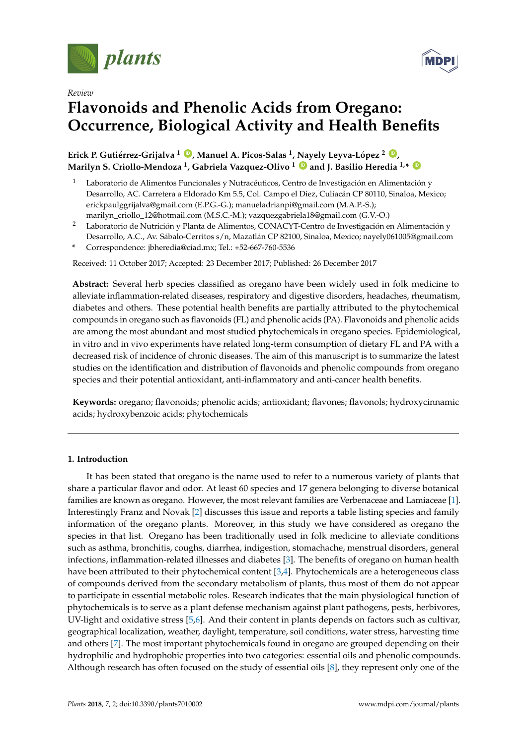





# **Flavonoids and Phenolic Acids from Oregano: Occurrence, Biological Activity and Health Benefits**

**Erick P. Gutiérrez-Grijalva <sup>1</sup> [ID](https://orcid.org/0000-0002-1366-408X) , Manuel A. Picos-Salas <sup>1</sup> , Nayely Leyva-López <sup>2</sup> [ID](https://orcid.org/0000-0001-6222-6169) , Marilyn S. Criollo-Mendoza <sup>1</sup> , Gabriela Vazquez-Olivo <sup>1</sup> [ID](https://orcid.org/0000-0001-7663-5764) and J. Basilio Heredia 1,\* [ID](https://orcid.org/0000-0003-1017-957X)**

- <sup>1</sup> Laboratorio de Alimentos Funcionales y Nutracéuticos, Centro de Investigación en Alimentación y Desarrollo, AC. Carretera a Eldorado Km 5.5, Col. Campo el Diez, Culiacán CP 80110, Sinaloa, Mexico; erickpaulggrijalva@gmail.com (E.P.G.-G.); manueladrianpi@gmail.com (M.A.P.-S.); marilyn\_criollo\_12@hotmail.com (M.S.C.-M.); vazquezgabriela18@gmail.com (G.V.-O.)
- <sup>2</sup> Laboratorio de Nutrición y Planta de Alimentos, CONACYT-Centro de Investigación en Alimentación y
- Desarrollo, A.C., Av. Sábalo-Cerritos s/n, Mazatlán CP 82100, Sinaloa, Mexico; nayely061005@gmail.com **\*** Correspondence: jbheredia@ciad.mx; Tel.: +52-667-760-5536

Received: 11 October 2017; Accepted: 23 December 2017; Published: 26 December 2017

**Abstract:** Several herb species classified as oregano have been widely used in folk medicine to alleviate inflammation-related diseases, respiratory and digestive disorders, headaches, rheumatism, diabetes and others. These potential health benefits are partially attributed to the phytochemical compounds in oregano such as flavonoids (FL) and phenolic acids (PA). Flavonoids and phenolic acids are among the most abundant and most studied phytochemicals in oregano species. Epidemiological, in vitro and in vivo experiments have related long-term consumption of dietary FL and PA with a decreased risk of incidence of chronic diseases. The aim of this manuscript is to summarize the latest studies on the identification and distribution of flavonoids and phenolic compounds from oregano species and their potential antioxidant, anti-inflammatory and anti-cancer health benefits.

**Keywords:** oregano; flavonoids; phenolic acids; antioxidant; flavones; flavonols; hydroxycinnamic acids; hydroxybenzoic acids; phytochemicals

# **1. Introduction**

It has been stated that oregano is the name used to refer to a numerous variety of plants that share a particular flavor and odor. At least 60 species and 17 genera belonging to diverse botanical families are known as oregano. However, the most relevant families are Verbenaceae and Lamiaceae [\[1\]](#page-16-0). Interestingly Franz and Novak [\[2\]](#page-16-1) discusses this issue and reports a table listing species and family information of the oregano plants. Moreover, in this study we have considered as oregano the species in that list. Oregano has been traditionally used in folk medicine to alleviate conditions such as asthma, bronchitis, coughs, diarrhea, indigestion, stomachache, menstrual disorders, general infections, inflammation-related illnesses and diabetes [\[3\]](#page-16-2). The benefits of oregano on human health have been attributed to their phytochemical content [\[3,](#page-16-2)[4\]](#page-16-3). Phytochemicals are a heterogeneous class of compounds derived from the secondary metabolism of plants, thus most of them do not appear to participate in essential metabolic roles. Research indicates that the main physiological function of phytochemicals is to serve as a plant defense mechanism against plant pathogens, pests, herbivores, UV-light and oxidative stress [\[5](#page-16-4)[,6\]](#page-16-5). And their content in plants depends on factors such as cultivar, geographical localization, weather, daylight, temperature, soil conditions, water stress, harvesting time and others [\[7\]](#page-16-6). The most important phytochemicals found in oregano are grouped depending on their hydrophilic and hydrophobic properties into two categories: essential oils and phenolic compounds. Although research has often focused on the study of essential oils [\[8\]](#page-16-7), they represent only one of the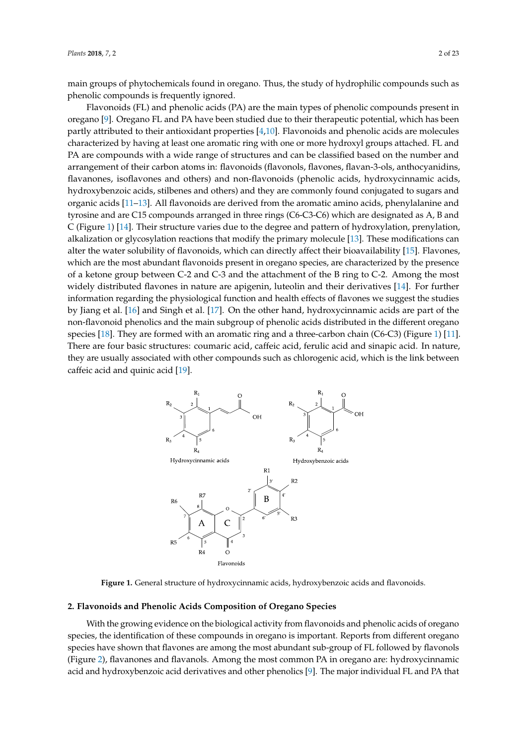main groups of phytochemicals found in oregano. Thus, the study of hydrophilic compounds such as phenolic compounds is frequently ignored. *Plants* **2018**, *7*, 2 2 of 22

Flavonoids (FL) and phenolic acids (PA) are the main types of phenolic compounds present in oregano [\[9\]](#page-16-8). Oregano FL and PA have been studied due to their therapeutic potential, which has been partly attributed to their antioxidant properties [\[4](#page-16-3)[,10\]](#page-16-9). Flavonoids and phenolic acids are molecules characterized by having at least one aromatic ring with one or more hydroxyl groups attached. FL and PA are compounds with a wide range of structures and can be classified based on the number and arrangement of their carbon atoms in: flavonoids (flavonols, flavones, flavan-3-ols, anthocyanidins, flavanones, isoflavones and others) and non-flavonoids (phenolic acids, hydroxycinnamic acids, hydroxybenzoic acids, stilbenes and others) and they are commonly found conjugated to sugars and organic acids [\[11](#page-16-10)[–13\]](#page-16-11). All flavonoids are derived from the aromatic amino acids, phenylalanine and others) and they are commonly found found for the still found for the still found for the still found for the still found f tyrosine and are C15 compounds arranged in three rings (C6-C3-C6) which are designated as A, B and  $C$  (Figure [1\)](#page-1-0) [\[14\]](#page-16-12). Their structure varies due to the degree and pattern of hydroxylation, prenylation, alkalization or glycosylation reactions that modify the primary molecule [\[13\]](#page-16-11). These modifications can alter the water solubility of flavonoids, which can directly affect their bioavailability [\[15\]](#page-16-13). Flavones, which are the most abundant flavonoids present in oregano species, are characterized by the presence of a ketone group between C-2 and C-3 and the attachment of the B ring to C-2. Among the most widely distributed flavones in nature are apigenin, luteolin and their derivatives [\[14\]](#page-16-12). For further information regarding the physiological function and health effects of flavones we suggest the studies by Jiang et al. [\[16\]](#page-16-14) and Singh et al. [\[17\]](#page-16-15). On the other hand, hydroxycinnamic acids are part of the non-flavonoid phenolics and the main subgroup of phenolic acids distributed in the different oregano species [\[18\]](#page-16-16). They are formed with an aromatic ring and a three-carbon chain (C6-C3) (Figure [1\)](#page-1-0) [\[11\]](#page-16-10). There are four basic structures: coumaric acid, caffeic acid, ferulic acid and sinapic acid. In nature, they are usually associated with other compounds such as chlorogenic acid, which is the link between caffeic acid and quinic acid  $[19]$ . and  $\frac{1}{\sqrt{2}}$  and  $\frac{1}{\sqrt{2}}$  and  $\frac{1}{\sqrt{2}}$  and  $\frac{1}{\sqrt{2}}$  and  $\frac{1}{\sqrt{2}}$  and  $\frac{1}{\sqrt{2}}$  and  $\frac{1}{\sqrt{2}}$  and  $\frac{1}{\sqrt{2}}$  and  $\frac{1}{\sqrt{2}}$  and  $\frac{1}{\sqrt{2}}$  and  $\frac{1}{\sqrt{2}}$  and  $\frac{1}{\sqrt{2}}$  and  $\frac{1}{\sqrt{2}}$  three-carbon case structures. Countain acid, caffeic acid, forum acid and structure acid. In half

<span id="page-1-0"></span>

**Figure 1.** General structure of hydroxycinnamic acids, hydroxybenzoic acids and **Figure 1.** General structure of hydroxycinnamic acids, hydroxybenzoic acids and flavonoids.

# **2. Flavonoids and Phenolic Acids Composition of Oregano Species 2. Flavonoids and Phenolic Acids Composition of Oregano Species**

With the growing evidence on the biological activity from flavonoids and phenolic acids of With the growing evidence on the biological activity from flavonoids and phenolic acids of oregano species, the identification of these compounds in oregano is important. Reports from different oregano species have shown that flavones are among the most abundant sub-group of FL followed by flavonols (Figure [2\)](#page-2-0), flavanones and flavanols. Among the most common PA in oregano are: hydroxycinnamic acid and hydroxybenzoic acid derivatives and other phenolics [\[9\]](#page-16-8). The major individual FL and PA that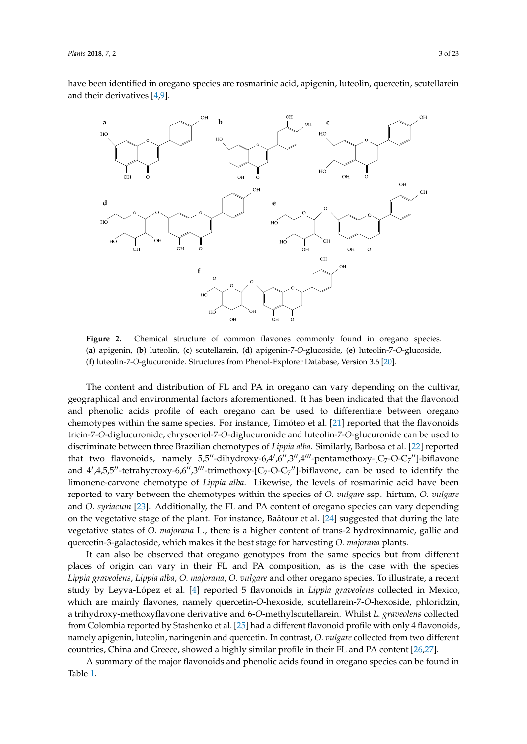have been identified in oregano species are rosmarinic acid, apigenin, luteolin, quercetin, scutellarein<br>have been identified in oregano species are rosmarinic acid, apigenin, luteolin, quercetin, scutellarein and their derivatives  $[4,9]$  $[4,9]$ .

<span id="page-2-0"></span>

Figure 2. Chemical structure of common flavones commonly found in oregano species. (a) apigenin, (b) luteolin, (c) scutellarein, (d) apigenin-7-O-glucoside, (e) luteolin-7-O-glucoside, (**f**) luteolin-7-*O*-glucuronide. Structures from Phenol-Explorer Database, Version 3.6 [20]. (**f**) luteolin-7-*O*-glucuronide. Structures from Phenol-Explorer Database, Version 3.6 [\[20\]](#page-16-18).

The content and distribution of FL and PA in oregano can vary depending on the cultivar, phical and environmental factors aforementianed. It has been indicated that the fla geographical and environmental factors aforementioned. It has been indicated that the flavonoid<br>
and the flavonoid and phenolic acids profile of each oregano can be used to differentiate between oregano chemotypes within the same species. For instance, Timóteo et al. [\[21\]](#page-17-0) reported that the flavonoids tricin-7-*O*-diglucuronide, chrysoeriol-7-*O-*diglucuronide and luteolin-7-*O-*glucuronide can be used to discriminate between three Brazilian chemotypes of *Lippia alba*. Similarly, Barbosa et al. [\[22\]](#page-17-1) reported that two flavonoids, namely 5,5"-dihydroxy-6,4',6",3",4"'-pentamethoxy-[C<sub>7</sub>-O-C<sub>7</sub>"]-biflavone between the chemotypes within the species of *O. vulgare* ssp. hirtum, *O. vulgare* and *O. syriacum* [23]. and  $4^{\prime}$ , 4,5,5<sup>0</sup>-tetrahycroxy-6,6<sup> $\prime\prime$ </sup>,3<sup> $\prime\prime\prime$ </sup>-trimethoxy-[C<sub>7</sub>-O-C<sub>7</sub><sup> $\prime\prime$ </sup>]-biflavone, can be used to identify the limonene-carvone chemotype of *Lippia alba*. Likewise, the levels of rosmarinic acid have been reported to vary between the chemotypes within the species of *O. vulgare* ssp. hirtum, *O. vulgare* and *O. syriacum* [\[23\]](#page-17-2). Additionally, the FL and PA content of oregano species can vary depending on the vegetative stage of the plant. For instance, Baâtour et al. [\[24\]](#page-17-3) suggested that during the late vegetative states of *O. majorana* L., there is a higher content of trans-2 hydroxinnamic, gallic and *Lippia alba*, *O. majorana*, *O. vulgare* and other oregano species. To illustrate, a recent study by Leyvaquercetin-3-galactoside, which makes it the best stage for harvesting *O. majorana* plants.

It can also be observed that oregano genotypes from the same species but from different places of origin can vary in their FL and PA composition, as is the case with the species Lippia graveolens, Lippia alba, O. majorana, O. vulgare and other oregano species. To illustrate, a recent study by Leyva-López et al. [\[4\]](#page-16-3) reported 5 flavonoids in *Lippia graveolens* collected in Mexico,  $\epsilon$  countries, China and Greece, showed a similar profile in the projection  $\epsilon$ . which are mainly flavones, namely quercetin-*O*-hexoside, scutellarein-7-*O*-hexoside, phloridzin, a trihydroxy-methoxyflavone derivative and 6-O-methylscutellarein. Whilst *L. graveolens* collected from Colombia reported by Stashenko et al. [\[25\]](#page-17-4) had a different flavonoid profile with only 4 flavonoids, namely apigenin, luteolin, naringenin and quercetin. In contrast, *O. vulgare* collected from two different countries, China and Greece, showed a highly similar profile in their FL and PA content [\[26](#page-17-5)[,27\]](#page-17-6).

A summary of the major flavonoids and phenolic acids found in oregano species can be found in Table [1.](#page-5-0)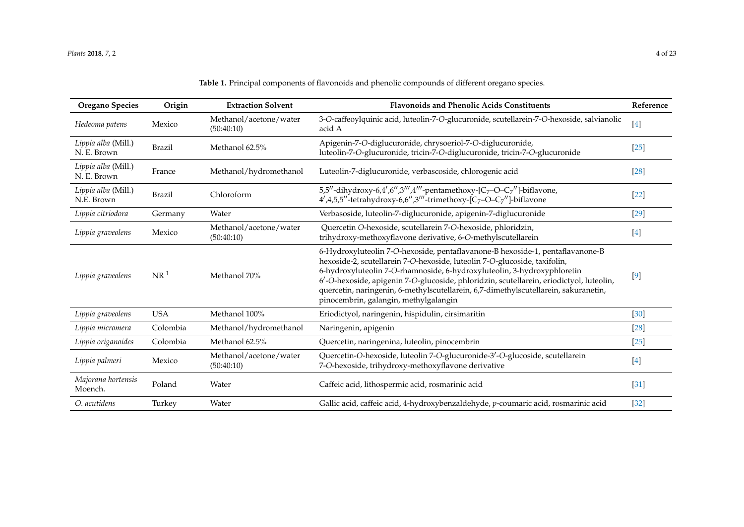|  |  | <b>Table 1.</b> Principal components of flavonoids and phenolic compounds of different oregano species. |  |  |  |  |  |  |  |  |  |  |
|--|--|---------------------------------------------------------------------------------------------------------|--|--|--|--|--|--|--|--|--|--|
|--|--|---------------------------------------------------------------------------------------------------------|--|--|--|--|--|--|--|--|--|--|

| <b>Oregano Species</b>             | Origin          | <b>Extraction Solvent</b>            | <b>Flavonoids and Phenolic Acids Constituents</b>                                                                                                                                                                                                                                                                                                                                                                                                                | Reference |
|------------------------------------|-----------------|--------------------------------------|------------------------------------------------------------------------------------------------------------------------------------------------------------------------------------------------------------------------------------------------------------------------------------------------------------------------------------------------------------------------------------------------------------------------------------------------------------------|-----------|
| Hedeoma patens                     | Mexico          | Methanol/acetone/water<br>(50:40:10) | 3-O-caffeoylquinic acid, luteolin-7-O-glucuronide, scutellarein-7-O-hexoside, salvianolic<br>acid A                                                                                                                                                                                                                                                                                                                                                              | $[4]$     |
| Lippia alba (Mill.)<br>N. E. Brown | <b>Brazil</b>   | Methanol 62.5%                       | Apigenin-7-O-diglucuronide, chrysoeriol-7-O-diglucuronide,<br>luteolin-7-O-glucuronide, tricin-7-O-diglucuronide, tricin-7-O-glucuronide                                                                                                                                                                                                                                                                                                                         | $[25]$    |
| Lippia alba (Mill.)<br>N. E. Brown | France          | Methanol/hydromethanol               | Luteolin-7-diglucuronide, verbascoside, chlorogenic acid                                                                                                                                                                                                                                                                                                                                                                                                         | $[28]$    |
| Lippia alba (Mill.)<br>N.E. Brown  | <b>Brazil</b>   | Chloroform                           | 5,5"-dihydroxy-6,4',6",3"',4"'-pentamethoxy-[C <sub>7</sub> -O-C <sub>7</sub> "]-biflavone,<br>$4', 4, 5, 5''$ -tetrahydroxy-6,6",3"'-trimethoxy-[C <sub>7</sub> -O-C <sub>7</sub> "]-biflavone                                                                                                                                                                                                                                                                  | $[22]$    |
| Lippia citriodora                  | Germany         | Water                                | Verbasoside, luteolin-7-diglucuronide, apigenin-7-diglucuronide                                                                                                                                                                                                                                                                                                                                                                                                  | $[29]$    |
| Lippia graveolens                  | Mexico          | Methanol/acetone/water<br>(50:40:10) | Quercetin O-hexoside, scutellarein 7-O-hexoside, phloridzin,<br>trihydroxy-methoxyflavone derivative, 6-O-methylscutellarein                                                                                                                                                                                                                                                                                                                                     | $[4]$     |
| Lippia graveolens                  | NR <sup>1</sup> | Methanol 70%                         | 6-Hydroxyluteolin 7-O-hexoside, pentaflavanone-B hexoside-1, pentaflavanone-B<br>hexoside-2, scutellarein 7-O-hexoside, luteolin 7-O-glucoside, taxifolin,<br>6-hydroxyluteolin 7-O-rhamnoside, 6-hydroxyluteolin, 3-hydroxyphloretin<br>6'-O-hexoside, apigenin 7-O-glucoside, phloridzin, scutellarein, eriodictyol, luteolin,<br>quercetin, naringenin, 6-methylscutellarein, 6,7-dimethylscutellarein, sakuranetin,<br>pinocembrin, galangin, methylgalangin | $[9]$     |
| Lippia graveolens                  | <b>USA</b>      | Methanol 100%                        | Eriodictyol, naringenin, hispidulin, cirsimaritin                                                                                                                                                                                                                                                                                                                                                                                                                | $[30]$    |
| Lippia micromera                   | Colombia        | Methanol/hydromethanol               | Naringenin, apigenin                                                                                                                                                                                                                                                                                                                                                                                                                                             | $[28]$    |
| Lippia origanoides                 | Colombia        | Methanol 62.5%                       | Quercetin, naringenina, luteolin, pinocembrin                                                                                                                                                                                                                                                                                                                                                                                                                    | $[25]$    |
| Lippia palmeri                     | Mexico          | Methanol/acetone/water<br>(50:40:10) | Quercetin-O-hexoside, luteolin 7-O-glucuronide-3'-O-glucoside, scutellarein<br>7-O-hexoside, trihydroxy-methoxyflavone derivative                                                                                                                                                                                                                                                                                                                                | $[4]$     |
| Majorana hortensis<br>Moench.      | Poland          | Water                                | Caffeic acid, lithospermic acid, rosmarinic acid                                                                                                                                                                                                                                                                                                                                                                                                                 | [31]      |
| O. acutidens                       | Turkey          | Water                                | Gallic acid, caffeic acid, 4-hydroxybenzaldehyde, p-coumaric acid, rosmarinic acid                                                                                                                                                                                                                                                                                                                                                                               | $[32]$    |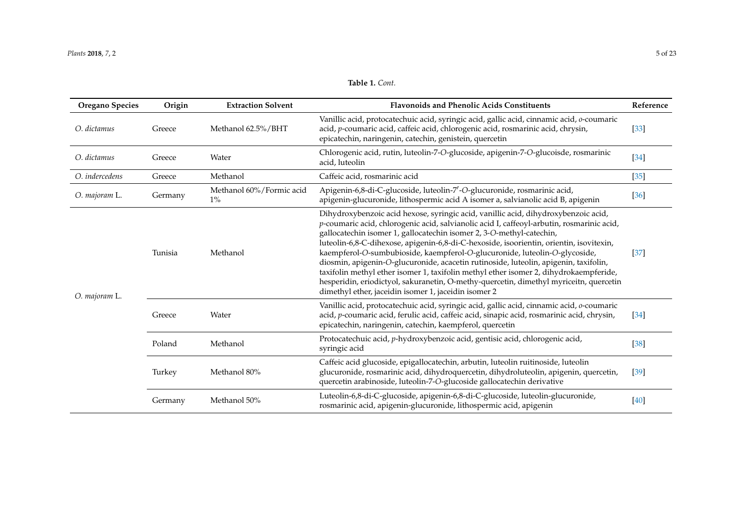| <b>Oregano Species</b> | Origin  | <b>Extraction Solvent</b>         | <b>Flavonoids and Phenolic Acids Constituents</b>                                                                                                                                                                                                                                                                                                                                                                                                                                                                                                                                                                                                                                                                                                                   | Reference |
|------------------------|---------|-----------------------------------|---------------------------------------------------------------------------------------------------------------------------------------------------------------------------------------------------------------------------------------------------------------------------------------------------------------------------------------------------------------------------------------------------------------------------------------------------------------------------------------------------------------------------------------------------------------------------------------------------------------------------------------------------------------------------------------------------------------------------------------------------------------------|-----------|
| O. dictamus            | Greece  | Methanol 62.5%/BHT                | Vanillic acid, protocatechuic acid, syringic acid, gallic acid, cinnamic acid, o-coumaric<br>acid, p-coumaric acid, caffeic acid, chlorogenic acid, rosmarinic acid, chrysin,<br>epicatechin, naringenin, catechin, genistein, quercetin                                                                                                                                                                                                                                                                                                                                                                                                                                                                                                                            | $[33]$    |
| O. dictamus            | Greece  | Water                             | Chlorogenic acid, rutin, luteolin-7-O-glucoside, apigenin-7-O-glucoisde, rosmarinic<br>acid, luteolin                                                                                                                                                                                                                                                                                                                                                                                                                                                                                                                                                                                                                                                               | $[34]$    |
| O. indercedens         | Greece  | Methanol                          | Caffeic acid, rosmarinic acid                                                                                                                                                                                                                                                                                                                                                                                                                                                                                                                                                                                                                                                                                                                                       | $[35]$    |
| O. majoram L.          | Germany | Methanol 60%/Formic acid<br>$1\%$ | Apigenin-6,8-di-C-glucoside, luteolin-7'-O-glucuronide, rosmarinic acid,<br>apigenin-glucuronide, lithospermic acid A isomer a, salvianolic acid B, apigenin                                                                                                                                                                                                                                                                                                                                                                                                                                                                                                                                                                                                        | $[36]$    |
| O. majoram L.          | Tunisia | Methanol                          | Dihydroxybenzoic acid hexose, syringic acid, vanillic acid, dihydroxybenzoic acid,<br>p-coumaric acid, chlorogenic acid, salvianolic acid I, caffeoyl-arbutin, rosmarinic acid,<br>gallocatechin isomer 1, gallocatechin isomer 2, 3-O-methyl-catechin,<br>luteolin-6,8-C-dihexose, apigenin-6,8-di-C-hexoside, isoorientin, orientin, isovitexin,<br>kaempferol-O-sumbubioside, kaempferol-O-glucuronide, luteolin-O-glycoside,<br>diosmin, apigenin-O-glucuronide, acacetin rutinoside, luteolin, apigenin, taxifolin,<br>taxifolin methyl ether isomer 1, taxifolin methyl ether isomer 2, dihydrokaempferide,<br>hesperidin, eriodictyol, sakuranetin, O-methy-quercetin, dimethyl myriceitn, quercetin<br>dimethyl ether, jaceidin isomer 1, jaceidin isomer 2 | $[37]$    |
|                        | Greece  | Water                             | Vanillic acid, protocatechuic acid, syringic acid, gallic acid, cinnamic acid, o-coumaric<br>acid, p-coumaric acid, ferulic acid, caffeic acid, sinapic acid, rosmarinic acid, chrysin,<br>epicatechin, naringenin, catechin, kaempferol, quercetin                                                                                                                                                                                                                                                                                                                                                                                                                                                                                                                 | $[34]$    |
|                        | Poland  | Methanol                          | Protocatechuic acid, p-hydroxybenzoic acid, gentisic acid, chlorogenic acid,<br>syringic acid                                                                                                                                                                                                                                                                                                                                                                                                                                                                                                                                                                                                                                                                       | $[38]$    |
|                        | Turkey  | Methanol 80%                      | Caffeic acid glucoside, epigallocatechin, arbutin, luteolin ruitinoside, luteolin<br>glucuronide, rosmarinic acid, dihydroquercetin, dihydroluteolin, apigenin, quercetin,<br>quercetin arabinoside, luteolin-7-O-glucoside gallocatechin derivative                                                                                                                                                                                                                                                                                                                                                                                                                                                                                                                | $[39]$    |
|                        | Germany | Methanol 50%                      | Luteolin-6,8-di-C-glucoside, apigenin-6,8-di-C-glucoside, luteolin-glucuronide,<br>rosmarinic acid, apigenin-glucuronide, lithospermic acid, apigenin                                                                                                                                                                                                                                                                                                                                                                                                                                                                                                                                                                                                               | $[40]$    |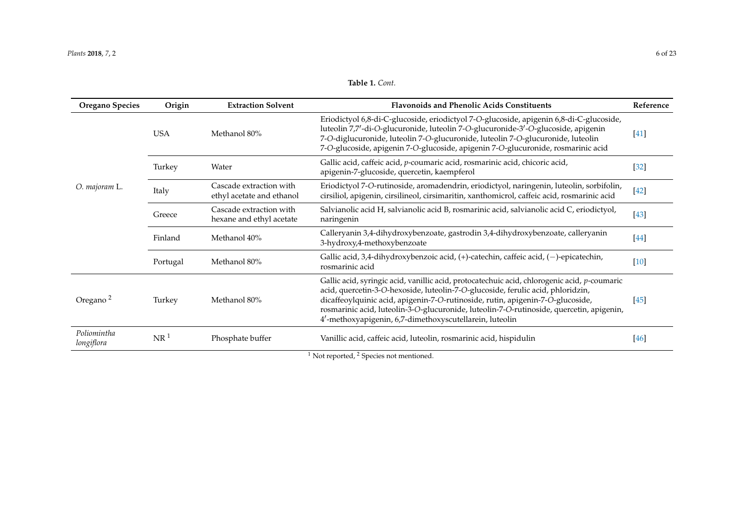### **Table 1.** *Cont.*

<span id="page-5-0"></span>

| Oregano Species           | Origin          | <b>Extraction Solvent</b>                            | <b>Flavonoids and Phenolic Acids Constituents</b>                                                                                                                                                                                                                                                                                                                                                                        | Reference |
|---------------------------|-----------------|------------------------------------------------------|--------------------------------------------------------------------------------------------------------------------------------------------------------------------------------------------------------------------------------------------------------------------------------------------------------------------------------------------------------------------------------------------------------------------------|-----------|
|                           | <b>USA</b>      | Methanol 80%                                         | Eriodictyol 6,8-di-C-glucoside, eriodictyol 7-O-glucoside, apigenin 6,8-di-C-glucoside,<br>luteolin 7,7'-di-O-glucuronide, luteolin 7-O-glucuronide-3'-O-glucoside, apigenin<br>7-O-diglucuronide, luteolin 7-O-glucuronide, luteolin 7-O-glucuronide, luteolin<br>7-O-glucoside, apigenin 7-O-glucoside, apigenin 7-O-glucuronide, rosmarinic acid                                                                      | $[41]$    |
|                           | Turkey          | Water                                                | Gallic acid, caffeic acid, p-coumaric acid, rosmarinic acid, chicoric acid,<br>apigenin-7-glucoside, quercetin, kaempferol                                                                                                                                                                                                                                                                                               | $[32]$    |
| O. majoram L.             | Italy           | Cascade extraction with<br>ethyl acetate and ethanol | Eriodictyol 7-O-rutinoside, aromadendrin, eriodictyol, naringenin, luteolin, sorbifolin,<br>cirsiliol, apigenin, cirsilineol, cirsimaritin, xanthomicrol, caffeic acid, rosmarinic acid                                                                                                                                                                                                                                  | $[42]$    |
|                           | Greece          | Cascade extraction with<br>hexane and ethyl acetate  | Salvianolic acid H, salvianolic acid B, rosmarinic acid, salvianolic acid C, eriodictyol,<br>naringenin                                                                                                                                                                                                                                                                                                                  | $[43]$    |
|                           | Finland         | Methanol 40%                                         | Calleryanin 3,4-dihydroxybenzoate, gastrodin 3,4-dihydroxybenzoate, calleryanin<br>3-hydroxy,4-methoxybenzoate                                                                                                                                                                                                                                                                                                           | $[44]$    |
|                           | Portugal        | Methanol 80%                                         | Gallic acid, 3,4-dihydroxybenzoic acid, (+)-catechin, caffeic acid, (-)-epicatechin,<br>rosmarinic acid                                                                                                                                                                                                                                                                                                                  | $[10]$    |
| Oregano <sup>2</sup>      | Turkey          | Methanol 80%                                         | Gallic acid, syringic acid, vanillic acid, protocatechuic acid, chlorogenic acid, p-coumaric<br>acid, quercetin-3-O-hexoside, luteolin-7-O-glucoside, ferulic acid, phloridzin,<br>dicaffeoylquinic acid, apigenin-7-O-rutinoside, rutin, apigenin-7-O-glucoside,<br>rosmarinic acid, luteolin-3-O-glucuronide, luteolin-7-O-rutinoside, quercetin, apigenin,<br>4'-methoxyapigenin, 6,7-dimethoxyscutellarein, luteolin | $[45]$    |
| Poliomintha<br>longiflora | NR <sup>1</sup> | Phosphate buffer                                     | Vanillic acid, caffeic acid, luteolin, rosmarinic acid, hispidulin<br>$\cdot$ $\cdot$ $\cdot$<br>$1 - r$                                                                                                                                                                                                                                                                                                                 | $[46]$    |

<sup>1</sup> Not reported, <sup>2</sup> Species not mentioned.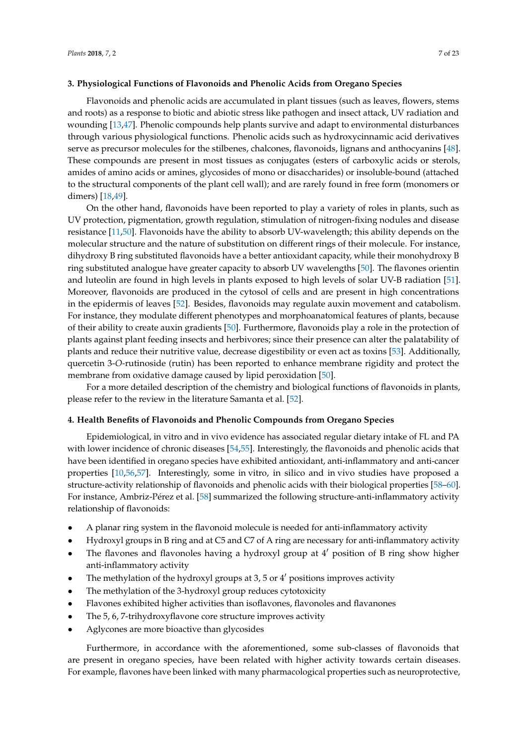#### **3. Physiological Functions of Flavonoids and Phenolic Acids from Oregano Species**

Flavonoids and phenolic acids are accumulated in plant tissues (such as leaves, flowers, stems and roots) as a response to biotic and abiotic stress like pathogen and insect attack, UV radiation and wounding [\[13,](#page-16-11)[47\]](#page-18-9). Phenolic compounds help plants survive and adapt to environmental disturbances through various physiological functions. Phenolic acids such as hydroxycinnamic acid derivatives serve as precursor molecules for the stilbenes, chalcones, flavonoids, lignans and anthocyanins [\[48\]](#page-18-10). These compounds are present in most tissues as conjugates (esters of carboxylic acids or sterols, amides of amino acids or amines, glycosides of mono or disaccharides) or insoluble-bound (attached to the structural components of the plant cell wall); and are rarely found in free form (monomers or dimers) [\[18](#page-16-16)[,49\]](#page-18-11).

On the other hand, flavonoids have been reported to play a variety of roles in plants, such as UV protection, pigmentation, growth regulation, stimulation of nitrogen-fixing nodules and disease resistance [\[11,](#page-16-10)[50\]](#page-18-12). Flavonoids have the ability to absorb UV-wavelength; this ability depends on the molecular structure and the nature of substitution on different rings of their molecule. For instance, dihydroxy B ring substituted flavonoids have a better antioxidant capacity, while their monohydroxy B ring substituted analogue have greater capacity to absorb UV wavelengths [\[50\]](#page-18-12). The flavones orientin and luteolin are found in high levels in plants exposed to high levels of solar UV-B radiation [\[51\]](#page-18-13). Moreover, flavonoids are produced in the cytosol of cells and are present in high concentrations in the epidermis of leaves [\[52\]](#page-18-14). Besides, flavonoids may regulate auxin movement and catabolism. For instance, they modulate different phenotypes and morphoanatomical features of plants, because of their ability to create auxin gradients [\[50\]](#page-18-12). Furthermore, flavonoids play a role in the protection of plants against plant feeding insects and herbivores; since their presence can alter the palatability of plants and reduce their nutritive value, decrease digestibility or even act as toxins [\[53\]](#page-18-15). Additionally, quercetin 3-*O*-rutinoside (rutin) has been reported to enhance membrane rigidity and protect the membrane from oxidative damage caused by lipid peroxidation [\[50\]](#page-18-12).

For a more detailed description of the chemistry and biological functions of flavonoids in plants, please refer to the review in the literature Samanta et al. [\[52\]](#page-18-14).

#### **4. Health Benefits of Flavonoids and Phenolic Compounds from Oregano Species**

Epidemiological, in vitro and in vivo evidence has associated regular dietary intake of FL and PA with lower incidence of chronic diseases [\[54,](#page-18-16)[55\]](#page-18-17). Interestingly, the flavonoids and phenolic acids that have been identified in oregano species have exhibited antioxidant, anti-inflammatory and anti-cancer properties [\[10,](#page-16-9)[56,](#page-18-18)[57\]](#page-18-19). Interestingly, some in vitro, in silico and in vivo studies have proposed a structure-activity relationship of flavonoids and phenolic acids with their biological properties [\[58–](#page-18-20)[60\]](#page-19-0). For instance, Ambriz-Pérez et al. [\[58\]](#page-18-20) summarized the following structure-anti-inflammatory activity relationship of flavonoids:

- A planar ring system in the flavonoid molecule is needed for anti-inflammatory activity
- Hydroxyl groups in B ring and at C5 and C7 of A ring are necessary for anti-inflammatory activity
- The flavones and flavonoles having a hydroxyl group at  $4'$  position of B ring show higher anti-inflammatory activity
- The methylation of the hydroxyl groups at 3, 5 or  $4'$  positions improves activity
- The methylation of the 3-hydroxyl group reduces cytotoxicity
- Flavones exhibited higher activities than isoflavones, flavonoles and flavanones
- The 5, 6, 7-trihydroxyflavone core structure improves activity
- Aglycones are more bioactive than glycosides

Furthermore, in accordance with the aforementioned, some sub-classes of flavonoids that are present in oregano species, have been related with higher activity towards certain diseases. For example, flavones have been linked with many pharmacological properties such as neuroprotective,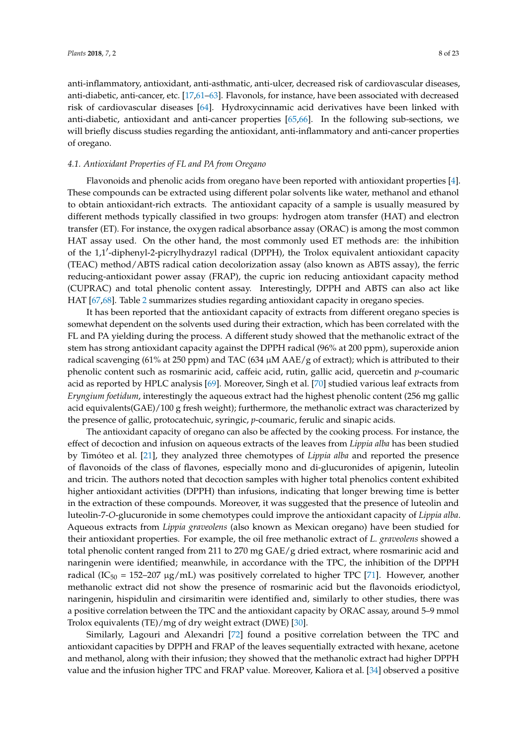anti-inflammatory, antioxidant, anti-asthmatic, anti-ulcer, decreased risk of cardiovascular diseases, anti-diabetic, anti-cancer, etc. [\[17,](#page-16-15)[61](#page-19-1)[–63\]](#page-19-2). Flavonols, for instance, have been associated with decreased risk of cardiovascular diseases [\[64\]](#page-19-3). Hydroxycinnamic acid derivatives have been linked with anti-diabetic, antioxidant and anti-cancer properties [\[65](#page-19-4)[,66\]](#page-19-5). In the following sub-sections, we will briefly discuss studies regarding the antioxidant, anti-inflammatory and anti-cancer properties of oregano.

#### *4.1. Antioxidant Properties of FL and PA from Oregano*

Flavonoids and phenolic acids from oregano have been reported with antioxidant properties [\[4\]](#page-16-3). These compounds can be extracted using different polar solvents like water, methanol and ethanol to obtain antioxidant-rich extracts. The antioxidant capacity of a sample is usually measured by different methods typically classified in two groups: hydrogen atom transfer (HAT) and electron transfer (ET). For instance, the oxygen radical absorbance assay (ORAC) is among the most common HAT assay used. On the other hand, the most commonly used ET methods are: the inhibition of the 1,1'-diphenyl-2-picrylhydrazyl radical (DPPH), the Trolox equivalent antioxidant capacity (TEAC) method/ABTS radical cation decolorization assay (also known as ABTS assay), the ferric reducing-antioxidant power assay (FRAP), the cupric ion reducing antioxidant capacity method (CUPRAC) and total phenolic content assay. Interestingly, DPPH and ABTS can also act like HAT [\[67,](#page-19-6)[68\]](#page-19-7). Table [2](#page-10-0) summarizes studies regarding antioxidant capacity in oregano species.

It has been reported that the antioxidant capacity of extracts from different oregano species is somewhat dependent on the solvents used during their extraction, which has been correlated with the FL and PA yielding during the process. A different study showed that the methanolic extract of the stem has strong antioxidant capacity against the DPPH radical (96% at 200 ppm), superoxide anion radical scavenging (61% at 250 ppm) and TAC (634 µM AAE/g of extract); which is attributed to their phenolic content such as rosmarinic acid, caffeic acid, rutin, gallic acid, quercetin and *p*-coumaric acid as reported by HPLC analysis [\[69\]](#page-19-8). Moreover, Singh et al. [\[70\]](#page-19-9) studied various leaf extracts from *Eryngium foetidum*, interestingly the aqueous extract had the highest phenolic content (256 mg gallic acid equivalents(GAE)/100 g fresh weight); furthermore, the methanolic extract was characterized by the presence of gallic, protocatechuic, syringic, *p*-coumaric, ferulic and sinapic acids.

The antioxidant capacity of oregano can also be affected by the cooking process. For instance, the effect of decoction and infusion on aqueous extracts of the leaves from *Lippia alba* has been studied by Timóteo et al. [\[21\]](#page-17-0), they analyzed three chemotypes of *Lippia alba* and reported the presence of flavonoids of the class of flavones, especially mono and di-glucuronides of apigenin, luteolin and tricin. The authors noted that decoction samples with higher total phenolics content exhibited higher antioxidant activities (DPPH) than infusions, indicating that longer brewing time is better in the extraction of these compounds. Moreover, it was suggested that the presence of luteolin and luteolin-7-*O*-glucuronide in some chemotypes could improve the antioxidant capacity of *Lippia alba*. Aqueous extracts from *Lippia graveolens* (also known as Mexican oregano) have been studied for their antioxidant properties. For example, the oil free methanolic extract of *L. graveolens* showed a total phenolic content ranged from 211 to 270 mg GAE/g dried extract, where rosmarinic acid and naringenin were identified; meanwhile, in accordance with the TPC, the inhibition of the DPPH radical (IC<sub>50</sub> = 152–207  $\mu$ g/mL) was positively correlated to higher TPC [\[71\]](#page-19-10). However, another methanolic extract did not show the presence of rosmarinic acid but the flavonoids eriodictyol, naringenin, hispidulin and cirsimaritin were identified and, similarly to other studies, there was a positive correlation between the TPC and the antioxidant capacity by ORAC assay, around 5–9 mmol Trolox equivalents (TE)/mg of dry weight extract (DWE) [\[30\]](#page-17-19).

Similarly, Lagouri and Alexandri [\[72\]](#page-19-11) found a positive correlation between the TPC and antioxidant capacities by DPPH and FRAP of the leaves sequentially extracted with hexane, acetone and methanol, along with their infusion; they showed that the methanolic extract had higher DPPH value and the infusion higher TPC and FRAP value. Moreover, Kaliora et al. [\[34\]](#page-17-20) observed a positive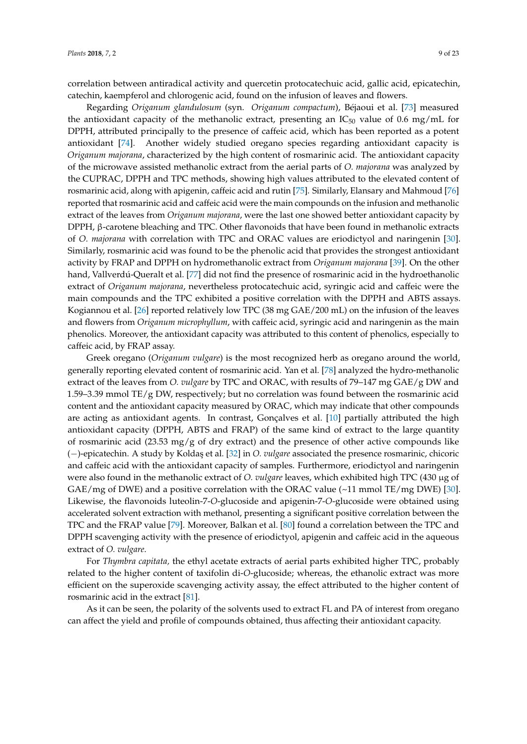correlation between antiradical activity and quercetin protocatechuic acid, gallic acid, epicatechin, catechin, kaempferol and chlorogenic acid, found on the infusion of leaves and flowers.

Regarding *Origanum glandulosum* (syn. *Origanum compactum*), Béjaoui et al. [\[73\]](#page-19-12) measured the antioxidant capacity of the methanolic extract, presenting an  $IC_{50}$  value of 0.6 mg/mL for DPPH, attributed principally to the presence of caffeic acid, which has been reported as a potent antioxidant [\[74\]](#page-19-13). Another widely studied oregano species regarding antioxidant capacity is *Origanum majorana*, characterized by the high content of rosmarinic acid. The antioxidant capacity of the microwave assisted methanolic extract from the aerial parts of *O. majorana* was analyzed by the CUPRAC, DPPH and TPC methods, showing high values attributed to the elevated content of rosmarinic acid, along with apigenin, caffeic acid and rutin [\[75\]](#page-19-14). Similarly, Elansary and Mahmoud [\[76\]](#page-19-15) reported that rosmarinic acid and caffeic acid were the main compounds on the infusion and methanolic extract of the leaves from *Origanum majorana*, were the last one showed better antioxidant capacity by DPPH, β-carotene bleaching and TPC. Other flavonoids that have been found in methanolic extracts of *O. majorana* with correlation with TPC and ORAC values are eriodictyol and naringenin [\[30\]](#page-17-19). Similarly, rosmarinic acid was found to be the phenolic acid that provides the strongest antioxidant activity by FRAP and DPPH on hydromethanolic extract from *Origanum majorana* [\[39\]](#page-18-21). On the other hand, Vallverdú-Queralt et al. [\[77\]](#page-19-16) did not find the presence of rosmarinic acid in the hydroethanolic extract of *Origanum majorana*, nevertheless protocatechuic acid, syringic acid and caffeic were the main compounds and the TPC exhibited a positive correlation with the DPPH and ABTS assays. Kogiannou et al. [\[26\]](#page-17-5) reported relatively low TPC (38 mg GAE/200 mL) on the infusion of the leaves and flowers from *Origanum microphyllum*, with caffeic acid, syringic acid and naringenin as the main phenolics. Moreover, the antioxidant capacity was attributed to this content of phenolics, especially to caffeic acid, by FRAP assay.

Greek oregano (*Origanum vulgare*) is the most recognized herb as oregano around the world, generally reporting elevated content of rosmarinic acid. Yan et al. [\[78\]](#page-19-17) analyzed the hydro-methanolic extract of the leaves from *O. vulgare* by TPC and ORAC, with results of 79–147 mg GAE/g DW and 1.59–3.39 mmol TE/g DW, respectively; but no correlation was found between the rosmarinic acid content and the antioxidant capacity measured by ORAC, which may indicate that other compounds are acting as antioxidant agents. In contrast, Gonçalves et al. [\[10\]](#page-16-9) partially attributed the high antioxidant capacity (DPPH, ABTS and FRAP) of the same kind of extract to the large quantity of rosmarinic acid (23.53 mg/g of dry extract) and the presence of other active compounds like (−)-epicatechin. A study by Kolda¸s et al. [\[32\]](#page-17-21) in *O. vulgare* associated the presence rosmarinic, chicoric and caffeic acid with the antioxidant capacity of samples. Furthermore, eriodictyol and naringenin were also found in the methanolic extract of *O. vulgare* leaves, which exhibited high TPC (430 µg of GAE/mg of DWE) and a positive correlation with the ORAC value  $(\sim 11 \text{ mmol TE/mg DWE})$  [\[30\]](#page-17-19). Likewise, the flavonoids luteolin-7-*O*-glucoside and apigenin-7-*O*-glucoside were obtained using accelerated solvent extraction with methanol, presenting a significant positive correlation between the TPC and the FRAP value [\[79\]](#page-20-0). Moreover, Balkan et al. [\[80\]](#page-20-1) found a correlation between the TPC and DPPH scavenging activity with the presence of eriodictyol, apigenin and caffeic acid in the aqueous extract of *O. vulgare*.

For *Thymbra capitata,* the ethyl acetate extracts of aerial parts exhibited higher TPC, probably related to the higher content of taxifolin di-*O*-glucoside; whereas, the ethanolic extract was more efficient on the superoxide scavenging activity assay, the effect attributed to the higher content of rosmarinic acid in the extract [\[81\]](#page-20-2).

As it can be seen, the polarity of the solvents used to extract FL and PA of interest from oregano can affect the yield and profile of compounds obtained, thus affecting their antioxidant capacity.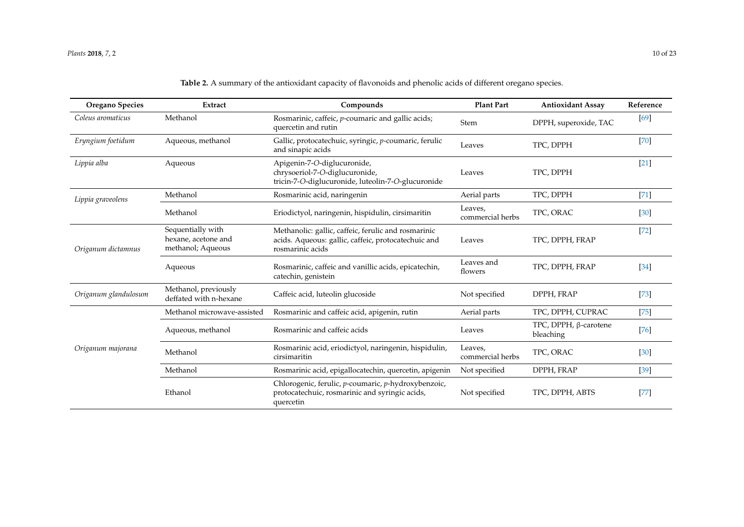#### *Plants* **2018**, *7*, 2 10 of 23

# **Table 2.** A summary of the antioxidant capacity of flavonoids and phenolic acids of different oregano species.

| <b>Oregano Species</b> | Extract                                                       | Compounds                                                                                                                      | <b>Plant Part</b>           | <b>Antioxidant Assay</b>                  | Reference |
|------------------------|---------------------------------------------------------------|--------------------------------------------------------------------------------------------------------------------------------|-----------------------------|-------------------------------------------|-----------|
| Coleus aromaticus      | Methanol                                                      | Rosmarinic, caffeic, p-coumaric and gallic acids;<br>quercetin and rutin                                                       | Stem                        | DPPH, superoxide, TAC                     | [69]      |
| Eryngium foetidum      | Aqueous, methanol                                             | Gallic, protocatechuic, syringic, p-coumaric, ferulic<br>and sinapic acids                                                     | Leaves                      | TPC, DPPH                                 | $[70]$    |
| Lippia alba            | Aqueous                                                       | Apigenin-7-O-diglucuronide,<br>chrysoeriol-7-O-diglucuronide,<br>tricin-7-O-diglucuronide, luteolin-7-O-glucuronide            | Leaves                      | TPC, DPPH                                 | $[21]$    |
| Lippia graveolens      | Methanol                                                      | Rosmarinic acid, naringenin                                                                                                    | Aerial parts                | TPC, DPPH                                 | $[71]$    |
|                        | Methanol                                                      | Eriodictyol, naringenin, hispidulin, cirsimaritin                                                                              | Leaves,<br>commercial herbs | TPC, ORAC                                 | [30]      |
| Origanum dictamnus     | Sequentially with<br>hexane, acetone and<br>methanol; Aqueous | Methanolic: gallic, caffeic, ferulic and rosmarinic<br>acids. Aqueous: gallic, caffeic, protocatechuic and<br>rosmarinic acids | Leaves                      | TPC, DPPH, FRAP                           | $[72]$    |
|                        | Aqueous                                                       | Rosmarinic, caffeic and vanillic acids, epicatechin,<br>catechin, genistein                                                    | Leaves and<br>flowers       | TPC, DPPH, FRAP                           | $[34]$    |
| Origanum glandulosum   | Methanol, previously<br>deffated with n-hexane                | Caffeic acid, luteolin glucoside                                                                                               | Not specified               | DPPH, FRAP                                | $[73]$    |
|                        | Methanol microwave-assisted                                   | Rosmarinic and caffeic acid, apigenin, rutin                                                                                   | Aerial parts                | TPC, DPPH, CUPRAC                         | $[75]$    |
|                        | Aqueous, methanol                                             | Rosmarinic and caffeic acids                                                                                                   | Leaves                      | TPC, DPPH, $\beta$ -carotene<br>bleaching | $[76]$    |
| Origanum majorana      | Methanol                                                      | Rosmarinic acid, eriodictyol, naringenin, hispidulin,<br>cirsimaritin                                                          | Leaves,<br>commercial herbs | TPC, ORAC                                 | $[30]$    |
|                        | Methanol                                                      | Rosmarinic acid, epigallocatechin, quercetin, apigenin                                                                         | Not specified               | DPPH, FRAP                                | $[39]$    |
|                        | Ethanol                                                       | Chlorogenic, ferulic, p-coumaric, p-hydroxybenzoic,<br>protocatechuic, rosmarinic and syringic acids,<br>quercetin             | Not specified               | TPC, DPPH, ABTS                           | $[77]$    |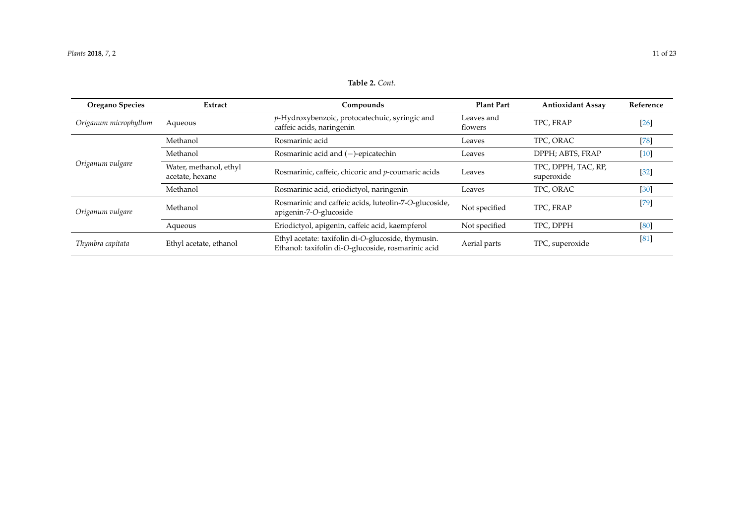<span id="page-10-0"></span>

| <b>Oregano Species</b> | Extract                                   | Compounds                                                                                                | <b>Plant Part</b>     | <b>Antioxidant Assay</b>          | Reference |
|------------------------|-------------------------------------------|----------------------------------------------------------------------------------------------------------|-----------------------|-----------------------------------|-----------|
| Origanum microphyllum  | Aqueous                                   | p-Hydroxybenzoic, protocatechuic, syringic and<br>caffeic acids, naringenin                              | Leaves and<br>flowers | TPC, FRAP                         | $[26]$    |
|                        | Methanol                                  | Rosmarinic acid                                                                                          | Leaves                | TPC, ORAC                         | $[78]$    |
| Origanum vulgare       | Methanol                                  | Rosmarinic acid and $(-)$ -epicatechin                                                                   | Leaves                | DPPH; ABTS, FRAP                  | $[10]$    |
|                        | Water, methanol, ethyl<br>acetate, hexane | Rosmarinic, caffeic, chicoric and p-coumaric acids                                                       | Leaves                | TPC, DPPH, TAC, RP,<br>superoxide | $[32]$    |
|                        | Methanol                                  | Rosmarinic acid, eriodictyol, naringenin                                                                 | Leaves                | TPC, ORAC                         | $[30]$    |
| Origanum vulgare       | Methanol                                  | Rosmarinic and caffeic acids, luteolin-7-O-glucoside,<br>apigenin-7-O-glucoside                          | Not specified         | TPC, FRAP                         | $[79]$    |
|                        | Aqueous                                   | Eriodictyol, apigenin, caffeic acid, kaempferol                                                          | Not specified         | TPC, DPPH                         | [80]      |
| Thymbra capitata       | Ethyl acetate, ethanol                    | Ethyl acetate: taxifolin di-O-glucoside, thymusin.<br>Ethanol: taxifolin di-O-glucoside, rosmarinic acid | Aerial parts          | TPC, superoxide                   | [81]      |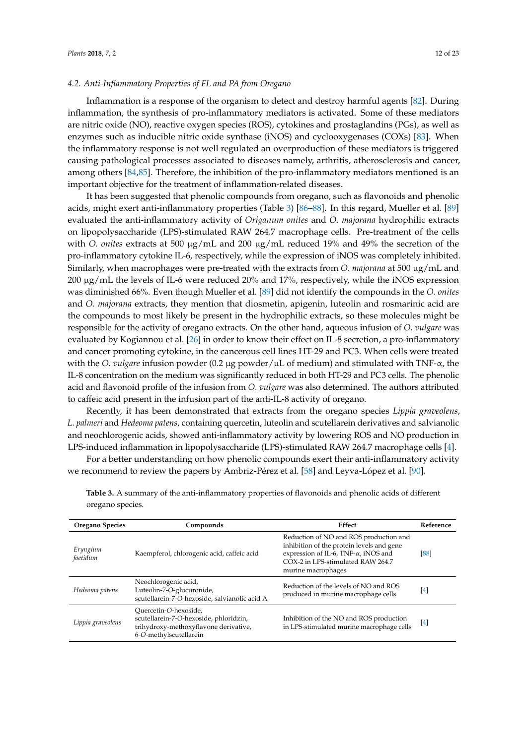#### *4.2. Anti-Inflammatory Properties of FL and PA from Oregano*

Inflammation is a response of the organism to detect and destroy harmful agents [\[82\]](#page-20-6). During inflammation, the synthesis of pro-inflammatory mediators is activated. Some of these mediators are nitric oxide (NO), reactive oxygen species (ROS), cytokines and prostaglandins (PGs), as well as enzymes such as inducible nitric oxide synthase (iNOS) and cyclooxygenases (COXs) [\[83\]](#page-20-7). When the inflammatory response is not well regulated an overproduction of these mediators is triggered causing pathological processes associated to diseases namely, arthritis, atherosclerosis and cancer, among others [\[84,](#page-20-8)[85\]](#page-20-9). Therefore, the inhibition of the pro-inflammatory mediators mentioned is an important objective for the treatment of inflammation-related diseases.

It has been suggested that phenolic compounds from oregano, such as flavonoids and phenolic acids, might exert anti-inflammatory properties (Table [3\)](#page-12-0) [\[86](#page-20-10)[–88\]](#page-20-11). In this regard, Mueller et al. [\[89\]](#page-20-12) evaluated the anti-inflammatory activity of *Origanum onites* and *O. majorana* hydrophilic extracts on lipopolysaccharide (LPS)-stimulated RAW 264.7 macrophage cells. Pre-treatment of the cells with *O. onites* extracts at 500 µg/mL and 200 µg/mL reduced 19% and 49% the secretion of the pro-inflammatory cytokine IL-6, respectively, while the expression of iNOS was completely inhibited. Similarly, when macrophages were pre-treated with the extracts from *O. majorana* at 500 µg/mL and  $200 \mu g/mL$  the levels of IL-6 were reduced 20% and 17%, respectively, while the iNOS expression was diminished 66%. Even though Mueller et al. [\[89\]](#page-20-12) did not identify the compounds in the *O. onites* and *O. majorana* extracts, they mention that diosmetin, apigenin, luteolin and rosmarinic acid are the compounds to most likely be present in the hydrophilic extracts, so these molecules might be responsible for the activity of oregano extracts. On the other hand, aqueous infusion of *O. vulgare* was evaluated by Kogiannou et al. [\[26\]](#page-17-5) in order to know their effect on IL-8 secretion, a pro-inflammatory and cancer promoting cytokine, in the cancerous cell lines HT-29 and PC3. When cells were treated with the *O. vulgare* infusion powder (0.2 µg powder/µL of medium) and stimulated with TNF-α, the IL-8 concentration on the medium was significantly reduced in both HT-29 and PC3 cells. The phenolic acid and flavonoid profile of the infusion from *O. vulgare* was also determined. The authors attributed to caffeic acid present in the infusion part of the anti-IL-8 activity of oregano.

Recently, it has been demonstrated that extracts from the oregano species *Lippia graveolens*, *L*. *palmeri* and *Hedeoma patens*, containing quercetin, luteolin and scutellarein derivatives and salvianolic and neochlorogenic acids, showed anti-inflammatory activity by lowering ROS and NO production in LPS-induced inflammation in lipopolysaccharide (LPS)-stimulated RAW 264.7 macrophage cells [\[4\]](#page-16-3).

For a better understanding on how phenolic compounds exert their anti-inflammatory activity we recommend to review the papers by Ambriz-Pérez et al. [\[58\]](#page-18-20) and Leyva-López et al. [\[90\]](#page-20-13).

| <b>Oregano Species</b> | Compounds                                                                                                                          | Effect                                                                                                                                                                                         | Reference |
|------------------------|------------------------------------------------------------------------------------------------------------------------------------|------------------------------------------------------------------------------------------------------------------------------------------------------------------------------------------------|-----------|
| Eryngium<br>foetidum   | Kaempferol, chlorogenic acid, caffeic acid                                                                                         | Reduction of NO and ROS production and<br>inhibition of the protein levels and gene<br>expression of IL-6, TNF- $\alpha$ , iNOS and<br>COX-2 in LPS-stimulated RAW 264.7<br>murine macrophages | [88]      |
| Hedeoma patens         | Neochlorogenic acid,<br>Luteolin-7-O-glucuronide,<br>scutellarein-7-O-hexoside, salvianolic acid A                                 | Reduction of the levels of NO and ROS<br>produced in murine macrophage cells                                                                                                                   | $[4]$     |
| Lippia graveolens      | Ouercetin-O-hexoside,<br>scutellarein-7-O-hexoside, phloridzin,<br>trihydroxy-methoxyflavone derivative,<br>6-O-methylscutellarein | Inhibition of the NO and ROS production<br>in LPS-stimulated murine macrophage cells                                                                                                           | [4]       |

**Table 3.** A summary of the anti-inflammatory properties of flavonoids and phenolic acids of different oregano species.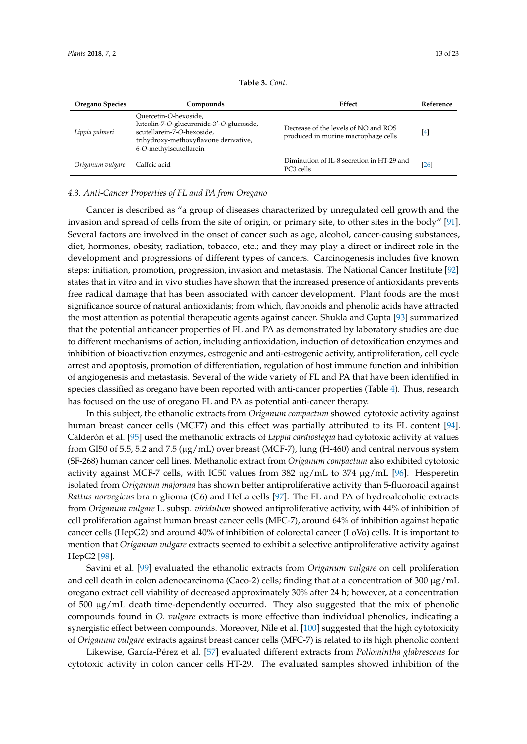<span id="page-12-0"></span>

| Oregano Species  | Compounds                                                                                                                                                          | Effect                                                                      | Reference        |
|------------------|--------------------------------------------------------------------------------------------------------------------------------------------------------------------|-----------------------------------------------------------------------------|------------------|
| Lippia palmeri   | Ouercetin-O-hexoside,<br>luteolin-7-O-glucuronide-3'-O-glucoside,<br>scutellarein-7-O-hexoside,<br>trihydroxy-methoxyflavone derivative,<br>6-O-methylscutellarein | Decrease of the levels of NO and ROS<br>produced in murine macrophage cells | $\left[4\right]$ |
| Origanum vulgare | Caffeic acid                                                                                                                                                       | Diminution of IL-8 secretion in HT-29 and<br>PC3 cells                      | [26]             |

**Table 3.** *Cont.*

#### *4.3. Anti-Cancer Properties of FL and PA from Oregano*

Cancer is described as "a group of diseases characterized by unregulated cell growth and the invasion and spread of cells from the site of origin, or primary site, to other sites in the body" [\[91\]](#page-20-14). Several factors are involved in the onset of cancer such as age, alcohol, cancer-causing substances, diet, hormones, obesity, radiation, tobacco, etc.; and they may play a direct or indirect role in the development and progressions of different types of cancers. Carcinogenesis includes five known steps: initiation, promotion, progression, invasion and metastasis. The National Cancer Institute [\[92\]](#page-20-15) states that in vitro and in vivo studies have shown that the increased presence of antioxidants prevents free radical damage that has been associated with cancer development. Plant foods are the most significance source of natural antioxidants; from which, flavonoids and phenolic acids have attracted the most attention as potential therapeutic agents against cancer. Shukla and Gupta [\[93\]](#page-20-16) summarized that the potential anticancer properties of FL and PA as demonstrated by laboratory studies are due to different mechanisms of action, including antioxidation, induction of detoxification enzymes and inhibition of bioactivation enzymes, estrogenic and anti-estrogenic activity, antiproliferation, cell cycle arrest and apoptosis, promotion of differentiation, regulation of host immune function and inhibition of angiogenesis and metastasis. Several of the wide variety of FL and PA that have been identified in species classified as oregano have been reported with anti-cancer properties (Table [4\)](#page-13-0). Thus, research has focused on the use of oregano FL and PA as potential anti-cancer therapy.

In this subject, the ethanolic extracts from *Origanum compactum* showed cytotoxic activity against human breast cancer cells (MCF7) and this effect was partially attributed to its FL content [\[94\]](#page-20-17). Calderón et al. [\[95\]](#page-20-18) used the methanolic extracts of *Lippia cardiostegia* had cytotoxic activity at values from GI50 of 5.5, 5.2 and 7.5 (µg/mL) over breast (MCF-7), lung (H-460) and central nervous system (SF-268) human cancer cell lines. Methanolic extract from *Origanum compactum* also exhibited cytotoxic activity against MCF-7 cells, with IC50 values from  $382 \mu g/mL$  to  $374 \mu g/mL$  [\[96\]](#page-20-19). Hesperetin isolated from *Origanum majorana* has shown better antiproliferative activity than 5-fluoroacil against *Rattus norvegicus* brain glioma (C6) and HeLa cells [\[97\]](#page-20-20). The FL and PA of hydroalcoholic extracts from *Origanum vulgare* L. subsp. *viridulum* showed antiproliferative activity, with 44% of inhibition of cell proliferation against human breast cancer cells (MFC-7), around 64% of inhibition against hepatic cancer cells (HepG2) and around 40% of inhibition of colorectal cancer (LoVo) cells. It is important to mention that *Origanum vulgare* extracts seemed to exhibit a selective antiproliferative activity against HepG2 [\[98\]](#page-20-21).

Savini et al. [\[99\]](#page-21-0) evaluated the ethanolic extracts from *Origanum vulgare* on cell proliferation and cell death in colon adenocarcinoma (Caco-2) cells; finding that at a concentration of 300 µg/mL oregano extract cell viability of decreased approximately 30% after 24 h; however, at a concentration of 500 µg/mL death time-dependently occurred. They also suggested that the mix of phenolic compounds found in *O. vulgare* extracts is more effective than individual phenolics, indicating a synergistic effect between compounds. Moreover, Nile et al. [\[100\]](#page-21-1) suggested that the high cytotoxicity of *Origanum vulgare* extracts against breast cancer cells (MFC-7) is related to its high phenolic content

Likewise, García-Pérez et al. [\[57\]](#page-18-19) evaluated different extracts from *Poliomintha glabrescens* for cytotoxic activity in colon cancer cells HT-29. The evaluated samples showed inhibition of the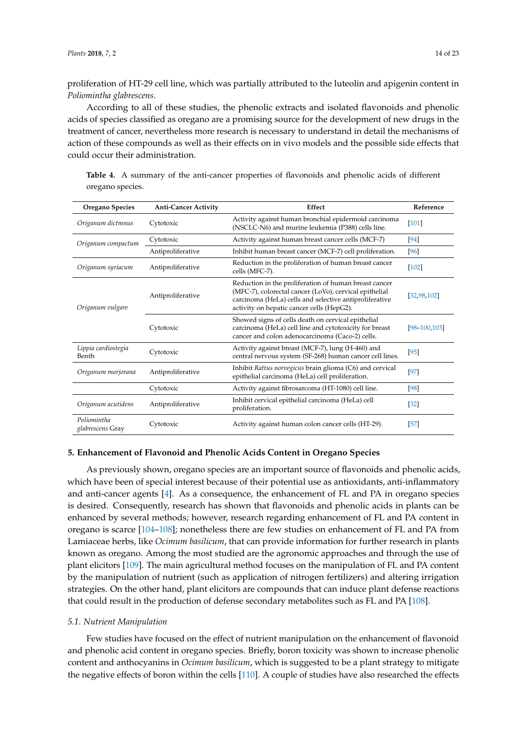proliferation of HT-29 cell line, which was partially attributed to the luteolin and apigenin content in *Poliomintha glabrescens*.

According to all of these studies, the phenolic extracts and isolated flavonoids and phenolic acids of species classified as oregano are a promising source for the development of new drugs in the treatment of cancer, nevertheless more research is necessary to understand in detail the mechanisms of action of these compounds as well as their effects on in vivo models and the possible side effects that could occur their administration.

| <b>Oregano Species</b>          | <b>Anti-Cancer Activity</b> | Effect                                                                                                                                                                                                                 | Reference         |
|---------------------------------|-----------------------------|------------------------------------------------------------------------------------------------------------------------------------------------------------------------------------------------------------------------|-------------------|
| Origanum dictmnus               | Cytotoxic                   | Activity against human bronchial epidermoid carcinoma<br>(NSCLC-N6) and murine leukemia (P388) cells line.                                                                                                             | $[101]$           |
| Origanum compactum              | Cytotoxic                   | Activity against human breast cancer cells (MCF-7)                                                                                                                                                                     | $[94]$            |
|                                 | Antiproliferative           | Inhibit human breast cancer (MCF-7) cell proliferation.                                                                                                                                                                | [96]              |
| Origanum syriacum               | Antiproliferative           | Reduction in the proliferation of human breast cancer<br>cells (MFC-7).                                                                                                                                                | $[102]$           |
| Origanum vulgare                | Antiproliferative           | Reduction in the proliferation of human breast cancer<br>(MFC-7), colorectal cancer (LoVo), cervical epithelial<br>carcinoma (HeLa) cells and selective antiproliferative<br>activity on hepatic cancer cells (HepG2). | [32, 98, 102]     |
|                                 | Cytotoxic                   | Showed signs of cells death on cervical epithelial<br>carcinoma (HeLa) cell line and cytotoxicity for breast<br>cancer and colon adenocarcinoma (Caco-2) cells.                                                        | $[98 - 100, 103]$ |
| Lippia cardiostegia<br>Benth    | Cytotoxic                   | Activity against breast (MCF-7), lung (H-460) and<br>central nervous system (SF-268) human cancer cell lines.                                                                                                          | $[95]$            |
| Origanum marjorana              | Antiproliferative           | Inhibit Rattus norvegicus brain glioma (C6) and cervical<br>epithelial carcinoma (HeLa) cell proliferation.                                                                                                            | $[97]$            |
|                                 | Cytotoxic                   | Activity against fibrosarcoma (HT-1080) cell line.                                                                                                                                                                     | $[98]$            |
| Origanum acutidens              | Antiproliferative           | Inhibit cervical epithelial carcinoma (HeLa) cell<br>proliferation.                                                                                                                                                    | $[32]$            |
| Poliomintha<br>glabrescens Gray | Cytotoxic                   | Activity against human colon cancer cells (HT-29).                                                                                                                                                                     | $[57]$            |

<span id="page-13-0"></span>**Table 4.** A summary of the anti-cancer properties of flavonoids and phenolic acids of different oregano species.

#### **5. Enhancement of Flavonoid and Phenolic Acids Content in Oregano Species**

As previously shown, oregano species are an important source of flavonoids and phenolic acids, which have been of special interest because of their potential use as antioxidants, anti-inflammatory and anti-cancer agents [\[4\]](#page-16-3). As a consequence, the enhancement of FL and PA in oregano species is desired. Consequently, research has shown that flavonoids and phenolic acids in plants can be enhanced by several methods; however, research regarding enhancement of FL and PA content in oregano is scarce [\[104–](#page-21-5)[108\]](#page-21-6); nonetheless there are few studies on enhancement of FL and PA from Lamiaceae herbs, like *Ocimum basilicum*, that can provide information for further research in plants known as oregano. Among the most studied are the agronomic approaches and through the use of plant elicitors [\[109\]](#page-21-7). The main agricultural method focuses on the manipulation of FL and PA content by the manipulation of nutrient (such as application of nitrogen fertilizers) and altering irrigation strategies. On the other hand, plant elicitors are compounds that can induce plant defense reactions that could result in the production of defense secondary metabolites such as FL and PA [\[108\]](#page-21-6).

#### *5.1. Nutrient Manipulation*

Few studies have focused on the effect of nutrient manipulation on the enhancement of flavonoid and phenolic acid content in oregano species. Briefly, boron toxicity was shown to increase phenolic content and anthocyanins in *Ocimum basilicum*, which is suggested to be a plant strategy to mitigate the negative effects of boron within the cells [\[110\]](#page-21-8). A couple of studies have also researched the effects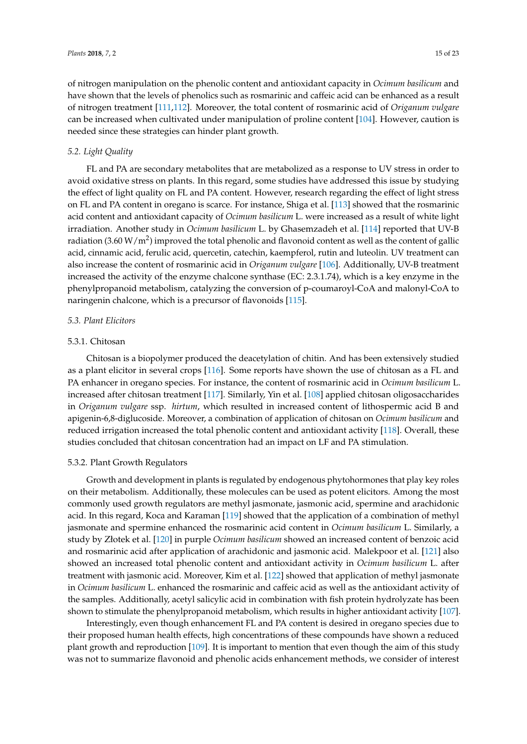of nitrogen manipulation on the phenolic content and antioxidant capacity in *Ocimum basilicum* and have shown that the levels of phenolics such as rosmarinic and caffeic acid can be enhanced as a result of nitrogen treatment [\[111,](#page-21-9)[112\]](#page-21-10). Moreover, the total content of rosmarinic acid of *Origanum vulgare* can be increased when cultivated under manipulation of proline content [\[104\]](#page-21-5). However, caution is needed since these strategies can hinder plant growth.

#### *5.2. Light Quality*

FL and PA are secondary metabolites that are metabolized as a response to UV stress in order to avoid oxidative stress on plants. In this regard, some studies have addressed this issue by studying the effect of light quality on FL and PA content. However, research regarding the effect of light stress on FL and PA content in oregano is scarce. For instance, Shiga et al. [\[113\]](#page-21-11) showed that the rosmarinic acid content and antioxidant capacity of *Ocimum basilicum* L. were increased as a result of white light irradiation. Another study in *Ocimum basilicum* L. by Ghasemzadeh et al. [\[114\]](#page-21-12) reported that UV-B radiation (3.60 W/m<sup>2</sup>) improved the total phenolic and flavonoid content as well as the content of gallic acid, cinnamic acid, ferulic acid, quercetin, catechin, kaempferol, rutin and luteolin. UV treatment can also increase the content of rosmarinic acid in *Origanum vulgare* [\[106\]](#page-21-13). Additionally, UV-B treatment increased the activity of the enzyme chalcone synthase (EC: 2.3.1.74), which is a key enzyme in the phenylpropanoid metabolism, catalyzing the conversion of p-coumaroyl-CoA and malonyl-CoA to naringenin chalcone, which is a precursor of flavonoids [\[115\]](#page-21-14).

#### *5.3. Plant Elicitors*

#### 5.3.1. Chitosan

Chitosan is a biopolymer produced the deacetylation of chitin. And has been extensively studied as a plant elicitor in several crops [\[116\]](#page-21-15). Some reports have shown the use of chitosan as a FL and PA enhancer in oregano species. For instance, the content of rosmarinic acid in *Ocimum basilicum* L. increased after chitosan treatment [\[117\]](#page-21-16). Similarly, Yin et al. [\[108\]](#page-21-6) applied chitosan oligosaccharides in *Origanum vulgare* ssp. *hirtum*, which resulted in increased content of lithospermic acid B and apigenin-6,8-diglucoside. Moreover, a combination of application of chitosan on *Ocimum basilicum* and reduced irrigation increased the total phenolic content and antioxidant activity [\[118\]](#page-21-17). Overall, these studies concluded that chitosan concentration had an impact on LF and PA stimulation.

#### 5.3.2. Plant Growth Regulators

Growth and development in plants is regulated by endogenous phytohormones that play key roles on their metabolism. Additionally, these molecules can be used as potent elicitors. Among the most commonly used growth regulators are methyl jasmonate, jasmonic acid, spermine and arachidonic acid. In this regard, Koca and Karaman [\[119\]](#page-22-0) showed that the application of a combination of methyl jasmonate and spermine enhanced the rosmarinic acid content in *Ocimum basilicum* L. Similarly, a study by Złotek et al. [\[120\]](#page-22-1) in purple *Ocimum basilicum* showed an increased content of benzoic acid and rosmarinic acid after application of arachidonic and jasmonic acid. Malekpoor et al. [\[121\]](#page-22-2) also showed an increased total phenolic content and antioxidant activity in *Ocimum basilicum* L. after treatment with jasmonic acid. Moreover, Kim et al. [\[122\]](#page-22-3) showed that application of methyl jasmonate in *Ocimum basilicum* L. enhanced the rosmarinic and caffeic acid as well as the antioxidant activity of the samples. Additionally, acetyl salicylic acid in combination with fish protein hydrolyzate has been shown to stimulate the phenylpropanoid metabolism, which results in higher antioxidant activity [\[107\]](#page-21-18).

Interestingly, even though enhancement FL and PA content is desired in oregano species due to their proposed human health effects, high concentrations of these compounds have shown a reduced plant growth and reproduction [\[109\]](#page-21-7). It is important to mention that even though the aim of this study was not to summarize flavonoid and phenolic acids enhancement methods, we consider of interest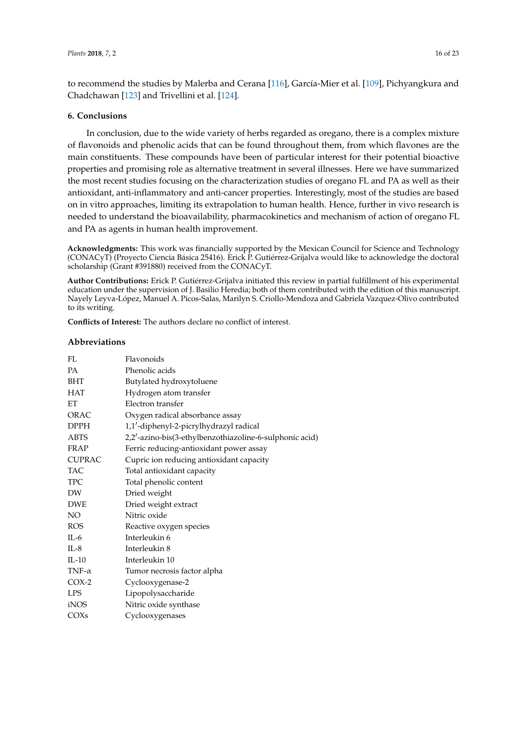to recommend the studies by Malerba and Cerana [\[116\]](#page-21-15), García-Mier et al. [\[109\]](#page-21-7), Pichyangkura and Chadchawan [\[123\]](#page-22-4) and Trivellini et al. [\[124\]](#page-22-5).

#### **6. Conclusions**

In conclusion, due to the wide variety of herbs regarded as oregano, there is a complex mixture of flavonoids and phenolic acids that can be found throughout them, from which flavones are the main constituents. These compounds have been of particular interest for their potential bioactive properties and promising role as alternative treatment in several illnesses. Here we have summarized the most recent studies focusing on the characterization studies of oregano FL and PA as well as their antioxidant, anti-inflammatory and anti-cancer properties. Interestingly, most of the studies are based on in vitro approaches, limiting its extrapolation to human health. Hence, further in vivo research is needed to understand the bioavailability, pharmacokinetics and mechanism of action of oregano FL and PA as agents in human health improvement.

**Acknowledgments:** This work was financially supported by the Mexican Council for Science and Technology (CONACyT) (Proyecto Ciencia Básica 25416). Erick P. Gutiérrez-Grijalva would like to acknowledge the doctoral scholarship (Grant #391880) received from the CONACyT.

**Author Contributions:** Erick P. Gutiérrez-Grijalva initiated this review in partial fulfillment of his experimental education under the supervision of J. Basilio Heredia; both of them contributed with the edition of this manuscript. Nayely Leyva-López, Manuel A. Picos-Salas, Marilyn S. Criollo-Mendoza and Gabriela Vazquez-Olivo contributed to its writing.

**Conflicts of Interest:** The authors declare no conflict of interest.

#### **Abbreviations**

| FL.              | Flavonoids                                              |
|------------------|---------------------------------------------------------|
| <b>PA</b>        | Phenolic acids                                          |
| <b>BHT</b>       | Butylated hydroxytoluene                                |
| <b>HAT</b>       | Hydrogen atom transfer                                  |
| ET               | Electron transfer                                       |
| <b>ORAC</b>      | Oxygen radical absorbance assay                         |
| <b>DPPH</b>      | 1,1'-diphenyl-2-picrylhydrazyl radical                  |
| <b>ABTS</b>      | 2,2'-azino-bis(3-ethylbenzothiazoline-6-sulphonic acid) |
| <b>FRAP</b>      | Ferric reducing-antioxidant power assay                 |
| <b>CUPRAC</b>    | Cupric ion reducing antioxidant capacity                |
| <b>TAC</b>       | Total antioxidant capacity                              |
| <b>TPC</b>       | Total phenolic content                                  |
| DW               | Dried weight                                            |
| <b>DWE</b>       | Dried weight extract                                    |
| NO <sub>1</sub>  | Nitric oxide                                            |
| <b>ROS</b>       | Reactive oxygen species                                 |
| $IL-6$           | Interleukin 6                                           |
| $IL-8$           | Interleukin 8                                           |
| $IL-10$          | Interleukin 10                                          |
| TNF- $\alpha$    | Tumor necrosis factor alpha                             |
| $COX-2$          | Cyclooxygenase-2                                        |
| <b>LPS</b>       | Lipopolysaccharide                                      |
| iNOS             | Nitric oxide synthase                                   |
| COX <sub>s</sub> | Cyclooxygenases                                         |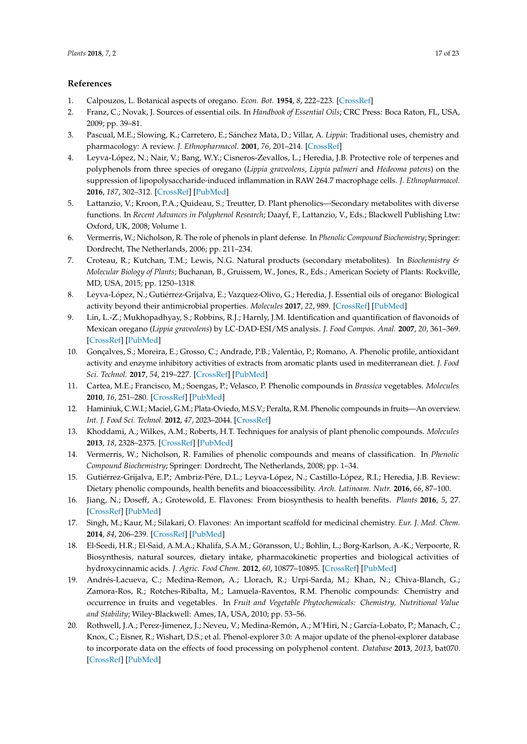# <span id="page-16-19"></span>**References**

- <span id="page-16-20"></span><span id="page-16-0"></span>1. Calpouzos, L. Botanical aspects of oregano. *Econ. Bot.* **1954**, *8*, 222–223. [\[CrossRef\]](http://dx.doi.org/10.1007/BF02984891)
- <span id="page-16-1"></span>2. Franz, C.; Novak, J. Sources of essential oils. In *Handbook of Essential Oils*; CRC Press: Boca Raton, FL, USA, 2009; pp. 39–81.
- <span id="page-16-21"></span><span id="page-16-2"></span>3. Pascual, M.E.; Slowing, K.; Carretero, E.; Sánchez Mata, D.; Villar, A. *Lippia*: Traditional uses, chemistry and pharmacology: A review. *J. Ethnopharmacol.* **2001**, *76*, 201–214. [\[CrossRef\]](http://dx.doi.org/10.1016/S0378-8741(01)00234-3)
- <span id="page-16-3"></span>4. Leyva-López, N.; Nair, V.; Bang, W.Y.; Cisneros-Zevallos, L.; Heredia, J.B. Protective role of terpenes and polyphenols from three species of oregano (*Lippia graveolens*, *Lippia palmeri* and *Hedeoma patens*) on the suppression of lipopolysaccharide-induced inflammation in RAW 264.7 macrophage cells. *J. Ethnopharmacol.* **2016**, *187*, 302–312. [\[CrossRef\]](http://dx.doi.org/10.1016/j.jep.2016.04.051) [\[PubMed\]](http://www.ncbi.nlm.nih.gov/pubmed/27131433)
- <span id="page-16-4"></span>5. Lattanzio, V.; Kroon, P.A.; Quideau, S.; Treutter, D. Plant phenolics—Secondary metabolites with diverse functions. In *Recent Advances in Polyphenol Research*; Daayf, F., Lattanzio, V., Eds.; Blackwell Publishing Ltw: Oxford, UK, 2008; Volume 1.
- <span id="page-16-5"></span>6. Vermerris, W.; Nicholson, R. The role of phenols in plant defense. In *Phenolic Compound Biochemistry*; Springer: Dordrecht, The Netherlands, 2006; pp. 211–234.
- <span id="page-16-6"></span>7. Croteau, R.; Kutchan, T.M.; Lewis, N.G. Natural products (secondary metabolites). In *Biochemistry & Molecular Biology of Plants*; Buchanan, B., Gruissem, W., Jones, R., Eds.; American Society of Plants: Rockville, MD, USA, 2015; pp. 1250–1318.
- <span id="page-16-7"></span>8. Leyva-López, N.; Gutiérrez-Grijalva, E.; Vazquez-Olivo, G.; Heredia, J. Essential oils of oregano: Biological activity beyond their antimicrobial properties. *Molecules* **2017**, *22*, 989. [\[CrossRef\]](http://dx.doi.org/10.3390/molecules22060989) [\[PubMed\]](http://www.ncbi.nlm.nih.gov/pubmed/28613267)
- <span id="page-16-8"></span>9. Lin, L.-Z.; Mukhopadhyay, S.; Robbins, R.J.; Harnly, J.M. Identification and quantification of flavonoids of Mexican oregano (*Lippia graveolens*) by LC-DAD-ESI/MS analysis. *J. Food Compos. Anal.* **2007**, *20*, 361–369. [\[CrossRef\]](http://dx.doi.org/10.1016/j.jfca.2006.09.005) [\[PubMed\]](http://www.ncbi.nlm.nih.gov/pubmed/24812440)
- <span id="page-16-9"></span>10. Gonçalves, S.; Moreira, E.; Grosso, C.; Andrade, P.B.; Valentão, P.; Romano, A. Phenolic profile, antioxidant activity and enzyme inhibitory activities of extracts from aromatic plants used in mediterranean diet. *J. Food Sci. Technol.* **2017**, *54*, 219–227. [\[CrossRef\]](http://dx.doi.org/10.1007/s13197-016-2453-z) [\[PubMed\]](http://www.ncbi.nlm.nih.gov/pubmed/28242919)
- <span id="page-16-10"></span>11. Cartea, M.E.; Francisco, M.; Soengas, P.; Velasco, P. Phenolic compounds in *Brassica* vegetables. *Molecules* **2010**, *16*, 251–280. [\[CrossRef\]](http://dx.doi.org/10.3390/molecules16010251) [\[PubMed\]](http://www.ncbi.nlm.nih.gov/pubmed/21193847)
- 12. Haminiuk, C.W.I.; Maciel, G.M.; Plata-Oviedo, M.S.V.; Peralta, R.M. Phenolic compounds in fruits—An overview. *Int. J. Food Sci. Technol.* **2012**, *47*, 2023–2044. [\[CrossRef\]](http://dx.doi.org/10.1111/j.1365-2621.2012.03067.x)
- <span id="page-16-11"></span>13. Khoddami, A.; Wilkes, A.M.; Roberts, H.T. Techniques for analysis of plant phenolic compounds. *Molecules* **2013**, *18*, 2328–2375. [\[CrossRef\]](http://dx.doi.org/10.3390/molecules18022328) [\[PubMed\]](http://www.ncbi.nlm.nih.gov/pubmed/23429347)
- <span id="page-16-12"></span>14. Vermerris, W.; Nicholson, R. Families of phenolic compounds and means of classification. In *Phenolic Compound Biochemistry*; Springer: Dordrecht, The Netherlands, 2008; pp. 1–34.
- <span id="page-16-13"></span>15. Gutiérrez-Grijalva, E.P.; Ambriz-Pére, D.L.; Leyva-López, N.; Castillo-López, R.I.; Heredia, J.B. Review: Dietary phenolic compounds, health benefits and bioaccessibility. *Arch. Latinoam. Nutr.* **2016**, *66*, 87–100.
- <span id="page-16-14"></span>16. Jiang, N.; Doseff, A.; Grotewold, E. Flavones: From biosynthesis to health benefits. *Plants* **2016**, *5*, 27. [\[CrossRef\]](http://dx.doi.org/10.3390/plants5020027) [\[PubMed\]](http://www.ncbi.nlm.nih.gov/pubmed/27338492)
- <span id="page-16-15"></span>17. Singh, M.; Kaur, M.; Silakari, O. Flavones: An important scaffold for medicinal chemistry. *Eur. J. Med. Chem.* **2014**, *84*, 206–239. [\[CrossRef\]](http://dx.doi.org/10.1016/j.ejmech.2014.07.013) [\[PubMed\]](http://www.ncbi.nlm.nih.gov/pubmed/25019478)
- <span id="page-16-16"></span>18. El-Seedi, H.R.; El-Said, A.M.A.; Khalifa, S.A.M.; Göransson, U.; Bohlin, L.; Borg-Karlson, A.-K.; Verpoorte, R. Biosynthesis, natural sources, dietary intake, pharmacokinetic properties and biological activities of hydroxycinnamic acids. *J. Agric. Food Chem.* **2012**, *60*, 10877–10895. [\[CrossRef\]](http://dx.doi.org/10.1021/jf301807g) [\[PubMed\]](http://www.ncbi.nlm.nih.gov/pubmed/22931195)
- <span id="page-16-17"></span>19. Andrés-Lacueva, C.; Medina-Remon, A.; Llorach, R.; Urpi-Sarda, M.; Khan, N.; Chiva-Blanch, G.; Zamora-Ros, R.; Rotches-Ribalta, M.; Lamuela-Raventos, R.M. Phenolic compounds: Chemistry and occurrence in fruits and vegetables. In *Fruit and Vegetable Phytochemicals: Chemistry, Nutritional Value and Stability*; Wiley-Blackwell: Ames, IA, USA, 2010; pp. 53–56.
- <span id="page-16-18"></span>20. Rothwell, J.A.; Perez-Jimenez, J.; Neveu, V.; Medina-Remón, A.; M'Hiri, N.; García-Lobato, P.; Manach, C.; Knox, C.; Eisner, R.; Wishart, D.S.; et al. Phenol-explorer 3.0: A major update of the phenol-explorer database to incorporate data on the effects of food processing on polyphenol content. *Database* **2013**, *2013*, bat070. [\[CrossRef\]](http://dx.doi.org/10.1093/database/bat070) [\[PubMed\]](http://www.ncbi.nlm.nih.gov/pubmed/24103452)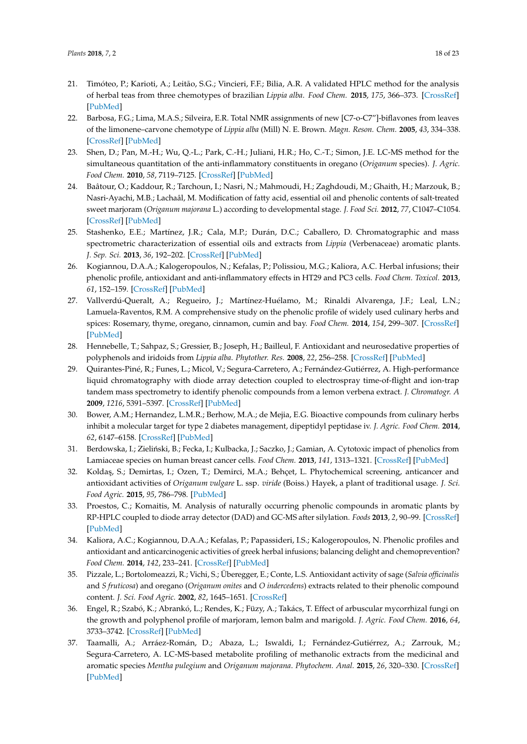- <span id="page-17-23"></span><span id="page-17-22"></span><span id="page-17-9"></span><span id="page-17-7"></span><span id="page-17-0"></span>21. Timóteo, P.; Karioti, A.; Leitão, S.G.; Vincieri, F.F.; Bilia, A.R. A validated HPLC method for the analysis of herbal teas from three chemotypes of brazilian *Lippia alba*. *Food Chem.* **2015**, *175*, 366–373. [\[CrossRef\]](http://dx.doi.org/10.1016/j.foodchem.2014.11.129) [\[PubMed\]](http://www.ncbi.nlm.nih.gov/pubmed/25577093)
- <span id="page-17-8"></span><span id="page-17-1"></span>22. Barbosa, F.G.; Lima, M.A.S.; Silveira, E.R. Total NMR assignments of new [C7-o-C7"]-biflavones from leaves of the limonene–carvone chemotype of *Lippia alba* (Mill) N. E. Brown. *Magn. Reson. Chem.* **2005**, *43*, 334–338. [\[CrossRef\]](http://dx.doi.org/10.1002/mrc.1546) [\[PubMed\]](http://www.ncbi.nlm.nih.gov/pubmed/15674815)
- <span id="page-17-10"></span><span id="page-17-2"></span>23. Shen, D.; Pan, M.-H.; Wu, Q.-L.; Park, C.-H.; Juliani, H.R.; Ho, C.-T.; Simon, J.E. LC-MS method for the simultaneous quantitation of the anti-inflammatory constituents in oregano (*Origanum* species). *J. Agric. Food Chem.* **2010**, *58*, 7119–7125. [\[CrossRef\]](http://dx.doi.org/10.1021/jf100636h) [\[PubMed\]](http://www.ncbi.nlm.nih.gov/pubmed/20496910)
- <span id="page-17-11"></span><span id="page-17-3"></span>24. Baâtour, O.; Kaddour, R.; Tarchoun, I.; Nasri, N.; Mahmoudi, H.; Zaghdoudi, M.; Ghaith, H.; Marzouk, B.; Nasri-Ayachi, M.B.; Lachaâl, M. Modification of fatty acid, essential oil and phenolic contents of salt-treated sweet marjoram (*Origanum majorana* L.) according to developmental stage. *J. Food Sci.* **2012**, *77*, C1047–C1054. [\[CrossRef\]](http://dx.doi.org/10.1111/j.1750-3841.2012.02904.x) [\[PubMed\]](http://www.ncbi.nlm.nih.gov/pubmed/22978424)
- <span id="page-17-13"></span><span id="page-17-12"></span><span id="page-17-4"></span>25. Stashenko, E.E.; Martínez, J.R.; Cala, M.P.; Durán, D.C.; Caballero, D. Chromatographic and mass spectrometric characterization of essential oils and extracts from *Lippia* (Verbenaceae) aromatic plants. *J. Sep. Sci.* **2013**, *36*, 192–202. [\[CrossRef\]](http://dx.doi.org/10.1002/jssc.201200877) [\[PubMed\]](http://www.ncbi.nlm.nih.gov/pubmed/23292852)
- <span id="page-17-5"></span>26. Kogiannou, D.A.A.; Kalogeropoulos, N.; Kefalas, P.; Polissiou, M.G.; Kaliora, A.C. Herbal infusions; their phenolic profile, antioxidant and anti-inflammatory effects in HT29 and PC3 cells. *Food Chem. Toxicol.* **2013**, *61*, 152–159. [\[CrossRef\]](http://dx.doi.org/10.1016/j.fct.2013.05.027) [\[PubMed\]](http://www.ncbi.nlm.nih.gov/pubmed/23712099)
- <span id="page-17-15"></span><span id="page-17-14"></span><span id="page-17-6"></span>27. Vallverdú-Queralt, A.; Regueiro, J.; Martínez-Huélamo, M.; Rinaldi Alvarenga, J.F.; Leal, L.N.; Lamuela-Raventos, R.M. A comprehensive study on the phenolic profile of widely used culinary herbs and spices: Rosemary, thyme, oregano, cinnamon, cumin and bay. *Food Chem.* **2014**, *154*, 299–307. [\[CrossRef\]](http://dx.doi.org/10.1016/j.foodchem.2013.12.106) [\[PubMed\]](http://www.ncbi.nlm.nih.gov/pubmed/24518346)
- <span id="page-17-16"></span>28. Hennebelle, T.; Sahpaz, S.; Gressier, B.; Joseph, H.; Bailleul, F. Antioxidant and neurosedative properties of polyphenols and iridoids from *Lippia alba*. *Phytother. Res.* **2008**, *22*, 256–258. [\[CrossRef\]](http://dx.doi.org/10.1002/ptr.2266) [\[PubMed\]](http://www.ncbi.nlm.nih.gov/pubmed/17705148)
- <span id="page-17-17"></span>29. Quirantes-Piné, R.; Funes, L.; Micol, V.; Segura-Carretero, A.; Fernández-Gutiérrez, A. High-performance liquid chromatography with diode array detection coupled to electrospray time-of-flight and ion-trap tandem mass spectrometry to identify phenolic compounds from a lemon verbena extract. *J. Chromatogr. A* **2009**, *1216*, 5391–5397. [\[CrossRef\]](http://dx.doi.org/10.1016/j.chroma.2009.05.038) [\[PubMed\]](http://www.ncbi.nlm.nih.gov/pubmed/19500792)
- <span id="page-17-19"></span><span id="page-17-18"></span>30. Bower, A.M.; Hernandez, L.M.R.; Berhow, M.A.; de Mejia, E.G. Bioactive compounds from culinary herbs inhibit a molecular target for type 2 diabetes management, dipeptidyl peptidase iv. *J. Agric. Food Chem.* **2014**, *62*, 6147–6158. [\[CrossRef\]](http://dx.doi.org/10.1021/jf500639f) [\[PubMed\]](http://www.ncbi.nlm.nih.gov/pubmed/24881464)
- 31. Berdowska, I.; Zieliński, B.; Fecka, I.; Kulbacka, J.; Saczko, J.; Gamian, A. Cytotoxic impact of phenolics from Lamiaceae species on human breast cancer cells. *Food Chem.* **2013**, *141*, 1313–1321. [\[CrossRef\]](http://dx.doi.org/10.1016/j.foodchem.2013.03.090) [\[PubMed\]](http://www.ncbi.nlm.nih.gov/pubmed/23790919)
- <span id="page-17-21"></span>32. Koldaş, S.; Demirtas, I.; Ozen, T.; Demirci, M.A.; Behçet, L. Phytochemical screening, anticancer and antioxidant activities of *Origanum vulgare* L. ssp. *viride* (Boiss.) Hayek, a plant of traditional usage. *J. Sci. Food Agric.* **2015**, *95*, 786–798. [\[PubMed\]](http://www.ncbi.nlm.nih.gov/pubmed/25200133)
- 33. Proestos, C.; Komaitis, M. Analysis of naturally occurring phenolic compounds in aromatic plants by RP-HPLC coupled to diode array detector (DAD) and GC-MS after silylation. *Foods* **2013**, *2*, 90–99. [\[CrossRef\]](http://dx.doi.org/10.3390/foods2010090) [\[PubMed\]](http://www.ncbi.nlm.nih.gov/pubmed/28239100)
- <span id="page-17-20"></span>34. Kaliora, A.C.; Kogiannou, D.A.A.; Kefalas, P.; Papassideri, I.S.; Kalogeropoulos, N. Phenolic profiles and antioxidant and anticarcinogenic activities of greek herbal infusions; balancing delight and chemoprevention? *Food Chem.* **2014**, *142*, 233–241. [\[CrossRef\]](http://dx.doi.org/10.1016/j.foodchem.2013.07.056) [\[PubMed\]](http://www.ncbi.nlm.nih.gov/pubmed/24001836)
- 35. Pizzale, L.; Bortolomeazzi, R.; Vichi, S.; Überegger, E.; Conte, L.S. Antioxidant activity of sage (*Salvia officinalis* and *S fruticosa*) and oregano (*Origanum onites* and *O indercedens*) extracts related to their phenolic compound content. *J. Sci. Food Agric.* **2002**, *82*, 1645–1651. [\[CrossRef\]](http://dx.doi.org/10.1002/jsfa.1240)
- 36. Engel, R.; Szabó, K.; Abrankó, L.; Rendes, K.; Füzy, A.; Takács, T. Effect of arbuscular mycorrhizal fungi on the growth and polyphenol profile of marjoram, lemon balm and marigold. *J. Agric. Food Chem.* **2016**, *64*, 3733–3742. [\[CrossRef\]](http://dx.doi.org/10.1021/acs.jafc.6b00408) [\[PubMed\]](http://www.ncbi.nlm.nih.gov/pubmed/27096876)
- 37. Taamalli, A.; Arráez-Román, D.; Abaza, L.; Iswaldi, I.; Fernández-Gutiérrez, A.; Zarrouk, M.; Segura-Carretero, A. LC-MS-based metabolite profiling of methanolic extracts from the medicinal and aromatic species *Mentha pulegium* and *Origanum majorana*. *Phytochem. Anal.* **2015**, *26*, 320–330. [\[CrossRef\]](http://dx.doi.org/10.1002/pca.2566) [\[PubMed\]](http://www.ncbi.nlm.nih.gov/pubmed/25982347)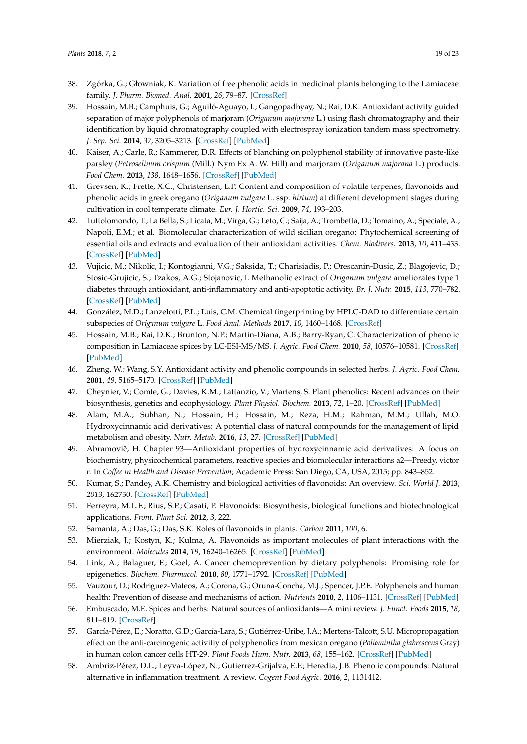- <span id="page-18-6"></span><span id="page-18-5"></span><span id="page-18-4"></span><span id="page-18-3"></span><span id="page-18-2"></span><span id="page-18-1"></span><span id="page-18-0"></span>38. Zgórka, G.; Głowniak, K. Variation of free phenolic acids in medicinal plants belonging to the Lamiaceae family. *J. Pharm. Biomed. Anal.* **2001**, *26*, 79–87. [\[CrossRef\]](http://dx.doi.org/10.1016/S0731-7085(01)00354-5)
- <span id="page-18-21"></span><span id="page-18-7"></span>39. Hossain, M.B.; Camphuis, G.; Aguiló-Aguayo, I.; Gangopadhyay, N.; Rai, D.K. Antioxidant activity guided separation of major polyphenols of marjoram (*Origanum majorana* L.) using flash chromatography and their identification by liquid chromatography coupled with electrospray ionization tandem mass spectrometry. *J. Sep. Sci.* **2014**, *37*, 3205–3213. [\[CrossRef\]](http://dx.doi.org/10.1002/jssc.201400597) [\[PubMed\]](http://www.ncbi.nlm.nih.gov/pubmed/25161079)
- <span id="page-18-8"></span>40. Kaiser, A.; Carle, R.; Kammerer, D.R. Effects of blanching on polyphenol stability of innovative paste-like parsley (*Petroselinum crispum* (Mill.) Nym Ex A. W. Hill) and marjoram (*Origanum majorana* L.) products. *Food Chem.* **2013**, *138*, 1648–1656. [\[CrossRef\]](http://dx.doi.org/10.1016/j.foodchem.2012.11.063) [\[PubMed\]](http://www.ncbi.nlm.nih.gov/pubmed/23411294)
- 41. Grevsen, K.; Frette, X.C.; Christensen, L.P. Content and composition of volatile terpenes, flavonoids and phenolic acids in greek oregano (*Origanum vulgare* L. ssp. *hirtum*) at different development stages during cultivation in cool temperate climate. *Eur. J. Hortic. Sci.* **2009**, *74*, 193–203.
- 42. Tuttolomondo, T.; La Bella, S.; Licata, M.; Virga, G.; Leto, C.; Saija, A.; Trombetta, D.; Tomaino, A.; Speciale, A.; Napoli, E.M.; et al. Biomolecular characterization of wild sicilian oregano: Phytochemical screening of essential oils and extracts and evaluation of their antioxidant activities. *Chem. Biodivers.* **2013**, *10*, 411–433. [\[CrossRef\]](http://dx.doi.org/10.1002/cbdv.201200219) [\[PubMed\]](http://www.ncbi.nlm.nih.gov/pubmed/23495158)
- 43. Vujicic, M.; Nikolic, I.; Kontogianni, V.G.; Saksida, T.; Charisiadis, P.; Orescanin-Dusic, Z.; Blagojevic, D.; Stosic-Grujicic, S.; Tzakos, A.G.; Stojanovic, I. Methanolic extract of *Origanum vulgare* ameliorates type 1 diabetes through antioxidant, anti-inflammatory and anti-apoptotic activity. *Br. J. Nutr.* **2015**, *113*, 770–782. [\[CrossRef\]](http://dx.doi.org/10.1017/S0007114514004048) [\[PubMed\]](http://www.ncbi.nlm.nih.gov/pubmed/25671817)
- 44. González, M.D.; Lanzelotti, P.L.; Luis, C.M. Chemical fingerprinting by HPLC-DAD to differentiate certain subspecies of *Origanum vulgare* L. *Food Anal. Methods* **2017**, *10*, 1460–1468. [\[CrossRef\]](http://dx.doi.org/10.1007/s12161-016-0704-2)
- 45. Hossain, M.B.; Rai, D.K.; Brunton, N.P.; Martin-Diana, A.B.; Barry-Ryan, C. Characterization of phenolic composition in Lamiaceae spices by LC-ESI-MS/MS. *J. Agric. Food Chem.* **2010**, *58*, 10576–10581. [\[CrossRef\]](http://dx.doi.org/10.1021/jf102042g) [\[PubMed\]](http://www.ncbi.nlm.nih.gov/pubmed/20825192)
- 46. Zheng, W.; Wang, S.Y. Antioxidant activity and phenolic compounds in selected herbs. *J. Agric. Food Chem.* **2001**, *49*, 5165–5170. [\[CrossRef\]](http://dx.doi.org/10.1021/jf010697n) [\[PubMed\]](http://www.ncbi.nlm.nih.gov/pubmed/11714298)
- <span id="page-18-9"></span>47. Cheynier, V.; Comte, G.; Davies, K.M.; Lattanzio, V.; Martens, S. Plant phenolics: Recent advances on their biosynthesis, genetics and ecophysiology. *Plant Physiol. Biochem.* **2013**, *72*, 1–20. [\[CrossRef\]](http://dx.doi.org/10.1016/j.plaphy.2013.05.009) [\[PubMed\]](http://www.ncbi.nlm.nih.gov/pubmed/23774057)
- <span id="page-18-10"></span>48. Alam, M.A.; Subhan, N.; Hossain, H.; Hossain, M.; Reza, H.M.; Rahman, M.M.; Ullah, M.O. Hydroxycinnamic acid derivatives: A potential class of natural compounds for the management of lipid metabolism and obesity. *Nutr. Metab.* **2016**, *13*, 27. [\[CrossRef\]](http://dx.doi.org/10.1186/s12986-016-0080-3) [\[PubMed\]](http://www.ncbi.nlm.nih.gov/pubmed/27069498)
- <span id="page-18-11"></span>49. Abramovič, H. Chapter 93—Antioxidant properties of hydroxycinnamic acid derivatives: A focus on biochemistry, physicochemical parameters, reactive species and biomolecular interactions a2—Preedy, victor r. In *Coffee in Health and Disease Prevention*; Academic Press: San Diego, CA, USA, 2015; pp. 843–852.
- <span id="page-18-12"></span>50. Kumar, S.; Pandey, A.K. Chemistry and biological activities of flavonoids: An overview. *Sci. World J.* **2013**, *2013*, 162750. [\[CrossRef\]](http://dx.doi.org/10.1155/2013/162750) [\[PubMed\]](http://www.ncbi.nlm.nih.gov/pubmed/24470791)
- <span id="page-18-13"></span>51. Ferreyra, M.L.F.; Rius, S.P.; Casati, P. Flavonoids: Biosynthesis, biological functions and biotechnological applications. *Front. Plant Sci.* **2012**, *3*, 222.
- <span id="page-18-14"></span>52. Samanta, A.; Das, G.; Das, S.K. Roles of flavonoids in plants. *Carbon* **2011**, *100*, 6.
- <span id="page-18-15"></span>53. Mierziak, J.; Kostyn, K.; Kulma, A. Flavonoids as important molecules of plant interactions with the environment. *Molecules* **2014**, *19*, 16240–16265. [\[CrossRef\]](http://dx.doi.org/10.3390/molecules191016240) [\[PubMed\]](http://www.ncbi.nlm.nih.gov/pubmed/25310150)
- <span id="page-18-16"></span>54. Link, A.; Balaguer, F.; Goel, A. Cancer chemoprevention by dietary polyphenols: Promising role for epigenetics. *Biochem. Pharmacol.* **2010**, *80*, 1771–1792. [\[CrossRef\]](http://dx.doi.org/10.1016/j.bcp.2010.06.036) [\[PubMed\]](http://www.ncbi.nlm.nih.gov/pubmed/20599773)
- <span id="page-18-17"></span>55. Vauzour, D.; Rodriguez-Mateos, A.; Corona, G.; Oruna-Concha, M.J.; Spencer, J.P.E. Polyphenols and human health: Prevention of disease and mechanisms of action. *Nutrients* **2010**, *2*, 1106–1131. [\[CrossRef\]](http://dx.doi.org/10.3390/nu2111106) [\[PubMed\]](http://www.ncbi.nlm.nih.gov/pubmed/22254000)
- <span id="page-18-18"></span>56. Embuscado, M.E. Spices and herbs: Natural sources of antioxidants—A mini review. *J. Funct. Foods* **2015**, *18*, 811–819. [\[CrossRef\]](http://dx.doi.org/10.1016/j.jff.2015.03.005)
- <span id="page-18-19"></span>57. García-Pérez, E.; Noratto, G.D.; García-Lara, S.; Gutiérrez-Uribe, J.A.; Mertens-Talcott, S.U. Micropropagation effect on the anti-carcinogenic activitiy of polyphenolics from mexican oregano (*Poliomintha glabrescens* Gray) in human colon cancer cells HT-29. *Plant Foods Hum. Nutr.* **2013**, *68*, 155–162. [\[CrossRef\]](http://dx.doi.org/10.1007/s11130-013-0344-2) [\[PubMed\]](http://www.ncbi.nlm.nih.gov/pubmed/23435631)
- <span id="page-18-20"></span>58. Ambriz-Pérez, D.L.; Leyva-López, N.; Gutierrez-Grijalva, E.P.; Heredia, J.B. Phenolic compounds: Natural alternative in inflammation treatment. A review. *Cogent Food Agric.* **2016**, *2*, 1131412.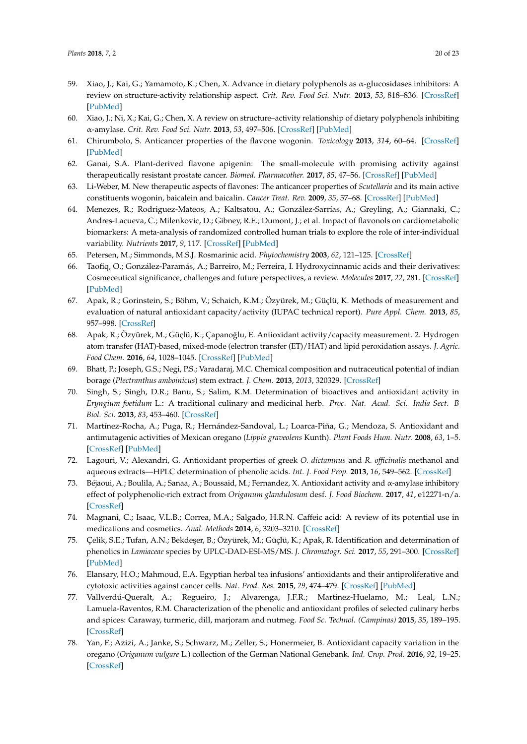- 59. Xiao, J.; Kai, G.; Yamamoto, K.; Chen, X. Advance in dietary polyphenols as α-glucosidases inhibitors: A review on structure-activity relationship aspect. *Crit. Rev. Food Sci. Nutr.* **2013**, *53*, 818–836. [\[CrossRef\]](http://dx.doi.org/10.1080/10408398.2011.561379) [\[PubMed\]](http://www.ncbi.nlm.nih.gov/pubmed/23768145)
- <span id="page-19-0"></span>60. Xiao, J.; Ni, X.; Kai, G.; Chen, X. A review on structure–activity relationship of dietary polyphenols inhibiting α-amylase. *Crit. Rev. Food Sci. Nutr.* **2013**, *53*, 497–506. [\[CrossRef\]](http://dx.doi.org/10.1080/10408398.2010.548108) [\[PubMed\]](http://www.ncbi.nlm.nih.gov/pubmed/23391016)
- <span id="page-19-18"></span><span id="page-19-1"></span>61. Chirumbolo, S. Anticancer properties of the flavone wogonin. *Toxicology* **2013**, *314*, 60–64. [\[CrossRef\]](http://dx.doi.org/10.1016/j.tox.2013.08.016) [\[PubMed\]](http://www.ncbi.nlm.nih.gov/pubmed/23994129)
- <span id="page-19-19"></span>62. Ganai, S.A. Plant-derived flavone apigenin: The small-molecule with promising activity against therapeutically resistant prostate cancer. *Biomed. Pharmacother.* **2017**, *85*, 47–56. [\[CrossRef\]](http://dx.doi.org/10.1016/j.biopha.2016.11.130) [\[PubMed\]](http://www.ncbi.nlm.nih.gov/pubmed/27930986)
- <span id="page-19-2"></span>63. Li-Weber, M. New therapeutic aspects of flavones: The anticancer properties of *Scutellaria* and its main active constituents wogonin, baicalein and baicalin. *Cancer Treat. Rev.* **2009**, *35*, 57–68. [\[CrossRef\]](http://dx.doi.org/10.1016/j.ctrv.2008.09.005) [\[PubMed\]](http://www.ncbi.nlm.nih.gov/pubmed/19004559)
- <span id="page-19-20"></span><span id="page-19-3"></span>64. Menezes, R.; Rodriguez-Mateos, A.; Kaltsatou, A.; González-Sarrías, A.; Greyling, A.; Giannaki, C.; Andres-Lacueva, C.; Milenkovic, D.; Gibney, R.E.; Dumont, J.; et al. Impact of flavonols on cardiometabolic biomarkers: A meta-analysis of randomized controlled human trials to explore the role of inter-individual variability. *Nutrients* **2017**, *9*, 117. [\[CrossRef\]](http://dx.doi.org/10.3390/nu9020117) [\[PubMed\]](http://www.ncbi.nlm.nih.gov/pubmed/28208791)
- <span id="page-19-21"></span><span id="page-19-4"></span>65. Petersen, M.; Simmonds, M.S.J. Rosmarinic acid. *Phytochemistry* **2003**, *62*, 121–125. [\[CrossRef\]](http://dx.doi.org/10.1016/S0031-9422(02)00513-7)
- <span id="page-19-22"></span><span id="page-19-5"></span>66. Taofiq, O.; González-Paramás, A.; Barreiro, M.; Ferreira, I. Hydroxycinnamic acids and their derivatives: Cosmeceutical significance, challenges and future perspectives, a review. *Molecules* **2017**, *22*, 281. [\[CrossRef\]](http://dx.doi.org/10.3390/molecules22020281) [\[PubMed\]](http://www.ncbi.nlm.nih.gov/pubmed/28208818)
- <span id="page-19-6"></span>67. Apak, R.; Gorinstein, S.; Böhm, V.; Schaich, K.M.; Özyürek, M.; Güçlü, K. Methods of measurement and evaluation of natural antioxidant capacity/activity (IUPAC technical report). *Pure Appl. Chem.* **2013**, *85*, 957–998. [\[CrossRef\]](http://dx.doi.org/10.1351/PAC-REP-12-07-15)
- <span id="page-19-24"></span><span id="page-19-23"></span><span id="page-19-7"></span>68. Apak, R.; Özyürek, M.; Güçlü, K.; Çapanoğlu, E. Antioxidant activity/capacity measurement. 2. Hydrogen atom transfer (HAT)-based, mixed-mode (electron transfer (ET)/HAT) and lipid peroxidation assays. *J. Agric. Food Chem.* **2016**, *64*, 1028–1045. [\[CrossRef\]](http://dx.doi.org/10.1021/acs.jafc.5b04743) [\[PubMed\]](http://www.ncbi.nlm.nih.gov/pubmed/26805392)
- <span id="page-19-25"></span><span id="page-19-8"></span>69. Bhatt, P.; Joseph, G.S.; Negi, P.S.; Varadaraj, M.C. Chemical composition and nutraceutical potential of indian borage (*Plectranthus amboinicus*) stem extract. *J. Chem.* **2013**, *2013*, 320329. [\[CrossRef\]](http://dx.doi.org/10.1155/2013/320329)
- <span id="page-19-9"></span>70. Singh, S.; Singh, D.R.; Banu, S.; Salim, K.M. Determination of bioactives and antioxidant activity in *Eryngium foetidum* L.: A traditional culinary and medicinal herb. *Proc. Nat. Acad. Sci. India Sect. B Biol. Sci.* **2013**, *83*, 453–460. [\[CrossRef\]](http://dx.doi.org/10.1007/s40011-012-0141-y)
- <span id="page-19-10"></span>71. Martínez-Rocha, A.; Puga, R.; Hernández-Sandoval, L.; Loarca-Piña, G.; Mendoza, S. Antioxidant and antimutagenic activities of Mexican oregano (*Lippia graveolens* Kunth). *Plant Foods Hum. Nutr.* **2008**, *63*, 1–5. [\[CrossRef\]](http://dx.doi.org/10.1007/s11130-007-0061-9) [\[PubMed\]](http://www.ncbi.nlm.nih.gov/pubmed/17965937)
- <span id="page-19-11"></span>72. Lagouri, V.; Alexandri, G. Antioxidant properties of greek *O. dictamnus* and *R. officinalis* methanol and aqueous extracts—HPLC determination of phenolic acids. *Int. J. Food Prop.* **2013**, *16*, 549–562. [\[CrossRef\]](http://dx.doi.org/10.1080/10942912.2010.535185)
- <span id="page-19-12"></span>73. Béjaoui, A.; Boulila, A.; Sanaa, A.; Boussaid, M.; Fernandez, X. Antioxidant activity and α-amylase inhibitory effect of polyphenolic-rich extract from *Origanum glandulosum* desf. *J. Food Biochem.* **2017**, *41*, e12271-n/a. [\[CrossRef\]](http://dx.doi.org/10.1111/jfbc.12271)
- <span id="page-19-13"></span>74. Magnani, C.; Isaac, V.L.B.; Correa, M.A.; Salgado, H.R.N. Caffeic acid: A review of its potential use in medications and cosmetics. *Anal. Methods* **2014**, *6*, 3203–3210. [\[CrossRef\]](http://dx.doi.org/10.1039/C3AY41807C)
- <span id="page-19-14"></span>75. Celik, S.E.; Tufan, A.N.; Bekdeşer, B.; Özyürek, M.; Güçlü, K.; Apak, R. Identification and determination of phenolics in *Lamiaceae* species by UPLC-DAD-ESI-MS/MS. *J. Chromatogr. Sci.* **2017**, *55*, 291–300. [\[CrossRef\]](http://dx.doi.org/10.1093/chromsci/bmw184) [\[PubMed\]](http://www.ncbi.nlm.nih.gov/pubmed/27884875)
- <span id="page-19-15"></span>76. Elansary, H.O.; Mahmoud, E.A. Egyptian herbal tea infusions' antioxidants and their antiproliferative and cytotoxic activities against cancer cells. *Nat. Prod. Res.* **2015**, *29*, 474–479. [\[CrossRef\]](http://dx.doi.org/10.1080/14786419.2014.951354) [\[PubMed\]](http://www.ncbi.nlm.nih.gov/pubmed/25141946)
- <span id="page-19-16"></span>77. Vallverdú-Queralt, A.; Regueiro, J.; Alvarenga, J.F.R.; Martinez-Huelamo, M.; Leal, L.N.; Lamuela-Raventos, R.M. Characterization of the phenolic and antioxidant profiles of selected culinary herbs and spices: Caraway, turmeric, dill, marjoram and nutmeg. *Food Sc. Technol. (Campinas)* **2015**, *35*, 189–195. [\[CrossRef\]](http://dx.doi.org/10.1590/1678-457X.6580)
- <span id="page-19-17"></span>78. Yan, F.; Azizi, A.; Janke, S.; Schwarz, M.; Zeller, S.; Honermeier, B. Antioxidant capacity variation in the oregano (*Origanum vulgare* L.) collection of the German National Genebank. *Ind. Crop. Prod.* **2016**, *92*, 19–25. [\[CrossRef\]](http://dx.doi.org/10.1016/j.indcrop.2016.07.038)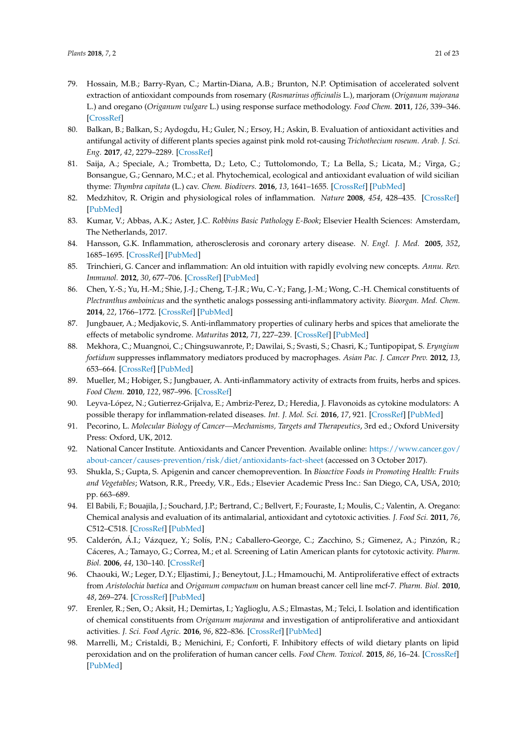- <span id="page-20-5"></span><span id="page-20-4"></span><span id="page-20-3"></span><span id="page-20-0"></span>79. Hossain, M.B.; Barry-Ryan, C.; Martin-Diana, A.B.; Brunton, N.P. Optimisation of accelerated solvent extraction of antioxidant compounds from rosemary (*Rosmarinus officinalis* L.), marjoram (*Origanum majorana* L.) and oregano (*Origanum vulgare* L.) using response surface methodology. *Food Chem.* **2011**, *126*, 339–346. [\[CrossRef\]](http://dx.doi.org/10.1016/j.foodchem.2010.10.076)
- <span id="page-20-1"></span>80. Balkan, B.; Balkan, S.; Aydogdu, H.; Guler, N.; Ersoy, H.; Askin, B. Evaluation of antioxidant activities and antifungal activity of different plants species against pink mold rot-causing *Trichothecium roseum*. *Arab. J. Sci. Eng.* **2017**, *42*, 2279–2289. [\[CrossRef\]](http://dx.doi.org/10.1007/s13369-017-2484-4)
- <span id="page-20-2"></span>81. Saija, A.; Speciale, A.; Trombetta, D.; Leto, C.; Tuttolomondo, T.; La Bella, S.; Licata, M.; Virga, G.; Bonsangue, G.; Gennaro, M.C.; et al. Phytochemical, ecological and antioxidant evaluation of wild sicilian thyme: *Thymbra capitata* (L.) cav. *Chem. Biodivers.* **2016**, *13*, 1641–1655. [\[CrossRef\]](http://dx.doi.org/10.1002/cbdv.201600072) [\[PubMed\]](http://www.ncbi.nlm.nih.gov/pubmed/27450323)
- <span id="page-20-6"></span>82. Medzhitov, R. Origin and physiological roles of inflammation. *Nature* **2008**, *454*, 428–435. [\[CrossRef\]](http://dx.doi.org/10.1038/nature07201) [\[PubMed\]](http://www.ncbi.nlm.nih.gov/pubmed/18650913)
- <span id="page-20-7"></span>83. Kumar, V.; Abbas, A.K.; Aster, J.C. *Robbins Basic Pathology E-Book*; Elsevier Health Sciences: Amsterdam, The Netherlands, 2017.
- <span id="page-20-8"></span>84. Hansson, G.K. Inflammation, atherosclerosis and coronary artery disease. *N. Engl. J. Med.* **2005**, *352*, 1685–1695. [\[CrossRef\]](http://dx.doi.org/10.1056/NEJMra043430) [\[PubMed\]](http://www.ncbi.nlm.nih.gov/pubmed/15843671)
- <span id="page-20-9"></span>85. Trinchieri, G. Cancer and inflammation: An old intuition with rapidly evolving new concepts. *Annu. Rev. Immunol.* **2012**, *30*, 677–706. [\[CrossRef\]](http://dx.doi.org/10.1146/annurev-immunol-020711-075008) [\[PubMed\]](http://www.ncbi.nlm.nih.gov/pubmed/22224761)
- <span id="page-20-10"></span>86. Chen, Y.-S.; Yu, H.-M.; Shie, J.-J.; Cheng, T.-J.R.; Wu, C.-Y.; Fang, J.-M.; Wong, C.-H. Chemical constituents of *Plectranthus amboinicus* and the synthetic analogs possessing anti-inflammatory activity. *Bioorgan. Med. Chem.* **2014**, *22*, 1766–1772. [\[CrossRef\]](http://dx.doi.org/10.1016/j.bmc.2014.01.009) [\[PubMed\]](http://www.ncbi.nlm.nih.gov/pubmed/24491635)
- 87. Jungbauer, A.; Medjakovic, S. Anti-inflammatory properties of culinary herbs and spices that ameliorate the effects of metabolic syndrome. *Maturitas* **2012**, *71*, 227–239. [\[CrossRef\]](http://dx.doi.org/10.1016/j.maturitas.2011.12.009) [\[PubMed\]](http://www.ncbi.nlm.nih.gov/pubmed/22226987)
- <span id="page-20-11"></span>88. Mekhora, C.; Muangnoi, C.; Chingsuwanrote, P.; Dawilai, S.; Svasti, S.; Chasri, K.; Tuntipopipat, S. *Eryngium foetidum* suppresses inflammatory mediators produced by macrophages. *Asian Pac. J. Cancer Prev.* **2012**, *13*, 653–664. [\[CrossRef\]](http://dx.doi.org/10.7314/APJCP.2012.13.2.653) [\[PubMed\]](http://www.ncbi.nlm.nih.gov/pubmed/22524841)
- <span id="page-20-12"></span>89. Mueller, M.; Hobiger, S.; Jungbauer, A. Anti-inflammatory activity of extracts from fruits, herbs and spices. *Food Chem.* **2010**, *122*, 987–996. [\[CrossRef\]](http://dx.doi.org/10.1016/j.foodchem.2010.03.041)
- <span id="page-20-13"></span>90. Leyva-López, N.; Gutierrez-Grijalva, E.; Ambriz-Perez, D.; Heredia, J. Flavonoids as cytokine modulators: A possible therapy for inflammation-related diseases. *Int. J. Mol. Sci.* **2016**, *17*, 921. [\[CrossRef\]](http://dx.doi.org/10.3390/ijms17060921) [\[PubMed\]](http://www.ncbi.nlm.nih.gov/pubmed/27294919)
- <span id="page-20-14"></span>91. Pecorino, L. *Molecular Biology of Cancer—Mechanisms, Targets and Therapeutics*, 3rd ed.; Oxford University Press: Oxford, UK, 2012.
- <span id="page-20-15"></span>92. National Cancer Institute. Antioxidants and Cancer Prevention. Available online: [https://www.cancer.gov/](https://www.cancer.gov/about-cancer/causes-prevention/risk/diet/antioxidants-fact-sheet) [about-cancer/causes-prevention/risk/diet/antioxidants-fact-sheet](https://www.cancer.gov/about-cancer/causes-prevention/risk/diet/antioxidants-fact-sheet) (accessed on 3 October 2017).
- <span id="page-20-16"></span>93. Shukla, S.; Gupta, S. Apigenin and cancer chemoprevention. In *Bioactive Foods in Promoting Health: Fruits and Vegetables*; Watson, R.R., Preedy, V.R., Eds.; Elsevier Academic Press Inc.: San Diego, CA, USA, 2010; pp. 663–689.
- <span id="page-20-17"></span>94. El Babili, F.; Bouajila, J.; Souchard, J.P.; Bertrand, C.; Bellvert, F.; Fouraste, I.; Moulis, C.; Valentin, A. Oregano: Chemical analysis and evaluation of its antimalarial, antioxidant and cytotoxic activities. *J. Food Sci.* **2011**, *76*, C512–C518. [\[CrossRef\]](http://dx.doi.org/10.1111/j.1750-3841.2011.02109.x) [\[PubMed\]](http://www.ncbi.nlm.nih.gov/pubmed/21535822)
- <span id="page-20-18"></span>95. Calderón, Á.I.; Vázquez, Y.; Solís, P.N.; Caballero-George, C.; Zacchino, S.; Gimenez, A.; Pinzón, R.; Cáceres, A.; Tamayo, G.; Correa, M.; et al. Screening of Latin American plants for cytotoxic activity. *Pharm. Biol.* **2006**, *44*, 130–140. [\[CrossRef\]](http://dx.doi.org/10.1080/13880200600592285)
- <span id="page-20-19"></span>96. Chaouki, W.; Leger, D.Y.; Eljastimi, J.; Beneytout, J.L.; Hmamouchi, M. Antiproliferative effect of extracts from *Aristolochia baetica* and *Origanum compactum* on human breast cancer cell line mcf-7. *Pharm. Biol.* **2010**, *48*, 269–274. [\[CrossRef\]](http://dx.doi.org/10.3109/13880200903096588) [\[PubMed\]](http://www.ncbi.nlm.nih.gov/pubmed/20645812)
- <span id="page-20-20"></span>97. Erenler, R.; Sen, O.; Aksit, H.; Demirtas, I.; Yaglioglu, A.S.; Elmastas, M.; Telci, I. Isolation and identification of chemical constituents from *Origanum majorana* and investigation of antiproliferative and antioxidant activities. *J. Sci. Food Agric.* **2016**, *96*, 822–836. [\[CrossRef\]](http://dx.doi.org/10.1002/jsfa.7155) [\[PubMed\]](http://www.ncbi.nlm.nih.gov/pubmed/25721137)
- <span id="page-20-21"></span>98. Marrelli, M.; Cristaldi, B.; Menichini, F.; Conforti, F. Inhibitory effects of wild dietary plants on lipid peroxidation and on the proliferation of human cancer cells. *Food Chem. Toxicol.* **2015**, *86*, 16–24. [\[CrossRef\]](http://dx.doi.org/10.1016/j.fct.2015.09.011) [\[PubMed\]](http://www.ncbi.nlm.nih.gov/pubmed/26408343)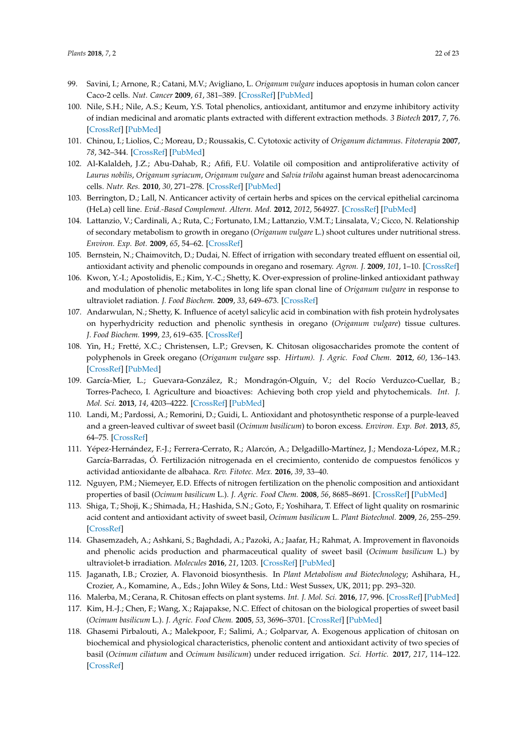- <span id="page-21-0"></span>99. Savini, I.; Arnone, R.; Catani, M.V.; Avigliano, L. *Origanum vulgare* induces apoptosis in human colon cancer Caco-2 cells. *Nut. Cancer* **2009**, *61*, 381–389. [\[CrossRef\]](http://dx.doi.org/10.1080/01635580802582769) [\[PubMed\]](http://www.ncbi.nlm.nih.gov/pubmed/19373612)
- <span id="page-21-1"></span>100. Nile, S.H.; Nile, A.S.; Keum, Y.S. Total phenolics, antioxidant, antitumor and enzyme inhibitory activity of indian medicinal and aromatic plants extracted with different extraction methods. *3 Biotech* **2017**, *7*, 76. [\[CrossRef\]](http://dx.doi.org/10.1007/s13205-017-0706-9) [\[PubMed\]](http://www.ncbi.nlm.nih.gov/pubmed/28452024)
- <span id="page-21-2"></span>101. Chinou, I.; Liolios, C.; Moreau, D.; Roussakis, C. Cytotoxic activity of *Origanum dictamnus*. *Fitoterapia* **2007**, *78*, 342–344. [\[CrossRef\]](http://dx.doi.org/10.1016/j.fitote.2007.02.005) [\[PubMed\]](http://www.ncbi.nlm.nih.gov/pubmed/17507178)
- <span id="page-21-3"></span>102. Al-Kalaldeh, J.Z.; Abu-Dahab, R.; Afifi, F.U. Volatile oil composition and antiproliferative activity of *Laurus nobilis*, *Origanum syriacum*, *Origanum vulgare* and *Salvia triloba* against human breast adenocarcinoma cells. *Nutr. Res.* **2010**, *30*, 271–278. [\[CrossRef\]](http://dx.doi.org/10.1016/j.nutres.2010.04.001) [\[PubMed\]](http://www.ncbi.nlm.nih.gov/pubmed/20534330)
- <span id="page-21-4"></span>103. Berrington, D.; Lall, N. Anticancer activity of certain herbs and spices on the cervical epithelial carcinoma (HeLa) cell line. *Evid.-Based Complement. Altern. Med.* **2012**, *2012*, 564927. [\[CrossRef\]](http://dx.doi.org/10.1155/2012/564927) [\[PubMed\]](http://www.ncbi.nlm.nih.gov/pubmed/22649474)
- <span id="page-21-5"></span>104. Lattanzio, V.; Cardinali, A.; Ruta, C.; Fortunato, I.M.; Lattanzio, V.M.T.; Linsalata, V.; Cicco, N. Relationship of secondary metabolism to growth in oregano (*Origanum vulgare* L.) shoot cultures under nutritional stress. *Environ. Exp. Bot.* **2009**, *65*, 54–62. [\[CrossRef\]](http://dx.doi.org/10.1016/j.envexpbot.2008.09.002)
- 105. Bernstein, N.; Chaimovitch, D.; Dudai, N. Effect of irrigation with secondary treated effluent on essential oil, antioxidant activity and phenolic compounds in oregano and rosemary. *Agron. J.* **2009**, *101*, 1–10. [\[CrossRef\]](http://dx.doi.org/10.2134/agronj2007.0144)
- <span id="page-21-13"></span>106. Kwon, Y.-I.; Apostolidis, E.; Kim, Y.-C.; Shetty, K. Over-expression of proline-linked antioxidant pathway and modulation of phenolic metabolites in long life span clonal line of *Origanum vulgare* in response to ultraviolet radiation. *J. Food Biochem.* **2009**, *33*, 649–673. [\[CrossRef\]](http://dx.doi.org/10.1111/j.1745-4514.2009.00243.x)
- <span id="page-21-18"></span>107. Andarwulan, N.; Shetty, K. Influence of acetyl salicylic acid in combination with fish protein hydrolysates on hyperhydricity reduction and phenolic synthesis in oregano (*Origanum vulgare*) tissue cultures. *J. Food Biochem.* **1999**, *23*, 619–635. [\[CrossRef\]](http://dx.doi.org/10.1111/j.1745-4514.1999.tb00590.x)
- <span id="page-21-6"></span>108. Yin, H.; Fretté, X.C.; Christensen, L.P.; Grevsen, K. Chitosan oligosaccharides promote the content of polyphenols in Greek oregano (*Origanum vulgare* ssp. *Hirtum). J. Agric. Food Chem.* **2012**, *60*, 136–143. [\[CrossRef\]](http://dx.doi.org/10.1021/jf204376j) [\[PubMed\]](http://www.ncbi.nlm.nih.gov/pubmed/22126122)
- <span id="page-21-7"></span>109. García-Mier, L.; Guevara-González, R.; Mondragón-Olguín, V.; del Rocío Verduzco-Cuellar, B.; Torres-Pacheco, I. Agriculture and bioactives: Achieving both crop yield and phytochemicals. *Int. J. Mol. Sci.* **2013**, *14*, 4203–4222. [\[CrossRef\]](http://dx.doi.org/10.3390/ijms14024203) [\[PubMed\]](http://www.ncbi.nlm.nih.gov/pubmed/23429238)
- <span id="page-21-8"></span>110. Landi, M.; Pardossi, A.; Remorini, D.; Guidi, L. Antioxidant and photosynthetic response of a purple-leaved and a green-leaved cultivar of sweet basil (*Ocimum basilicum*) to boron excess. *Environ. Exp. Bot.* **2013**, *85*, 64–75. [\[CrossRef\]](http://dx.doi.org/10.1016/j.envexpbot.2012.08.008)
- <span id="page-21-9"></span>111. Yépez-Hernández, F.-J.; Ferrera-Cerrato, R.; Alarcón, A.; Delgadillo-Martínez, J.; Mendoza-López, M.R.; García-Barradas, Ó. Fertilización nitrogenada en el crecimiento, contenido de compuestos fenólicos y actividad antioxidante de albahaca. *Rev. Fitotec. Mex.* **2016**, *39*, 33–40.
- <span id="page-21-10"></span>112. Nguyen, P.M.; Niemeyer, E.D. Effects of nitrogen fertilization on the phenolic composition and antioxidant properties of basil (*Ocimum basilicum* L.). *J. Agric. Food Chem.* **2008**, *56*, 8685–8691. [\[CrossRef\]](http://dx.doi.org/10.1021/jf801485u) [\[PubMed\]](http://www.ncbi.nlm.nih.gov/pubmed/18712879)
- <span id="page-21-11"></span>113. Shiga, T.; Shoji, K.; Shimada, H.; Hashida, S.N.; Goto, F.; Yoshihara, T. Effect of light quality on rosmarinic acid content and antioxidant activity of sweet basil, *Ocimum basilicum* L. *Plant Biotechnol.* **2009**, *26*, 255–259. [\[CrossRef\]](http://dx.doi.org/10.5511/plantbiotechnology.26.255)
- <span id="page-21-12"></span>114. Ghasemzadeh, A.; Ashkani, S.; Baghdadi, A.; Pazoki, A.; Jaafar, H.; Rahmat, A. Improvement in flavonoids and phenolic acids production and pharmaceutical quality of sweet basil (*Ocimum basilicum* L.) by ultraviolet-b irradiation. *Molecules* **2016**, *21*, 1203. [\[CrossRef\]](http://dx.doi.org/10.3390/molecules21091203) [\[PubMed\]](http://www.ncbi.nlm.nih.gov/pubmed/27618000)
- <span id="page-21-14"></span>115. Jaganath, I.B.; Crozier, A. Flavonoid biosynthesis. In *Plant Metabolism and Biotechnology*; Ashihara, H., Crozier, A., Komamine, A., Eds.; John Wiley & Sons, Ltd.: West Sussex, UK, 2011; pp. 293–320.
- <span id="page-21-15"></span>116. Malerba, M.; Cerana, R. Chitosan effects on plant systems. *Int. J. Mol. Sci.* **2016**, *17*, 996. [\[CrossRef\]](http://dx.doi.org/10.3390/ijms17070996) [\[PubMed\]](http://www.ncbi.nlm.nih.gov/pubmed/27347928)
- <span id="page-21-16"></span>117. Kim, H.-J.; Chen, F.; Wang, X.; Rajapakse, N.C. Effect of chitosan on the biological properties of sweet basil (*Ocimum basilicum* L.). *J. Agric. Food Chem.* **2005**, *53*, 3696–3701. [\[CrossRef\]](http://dx.doi.org/10.1021/jf0480804) [\[PubMed\]](http://www.ncbi.nlm.nih.gov/pubmed/15853422)
- <span id="page-21-17"></span>118. Ghasemi Pirbalouti, A.; Malekpoor, F.; Salimi, A.; Golparvar, A. Exogenous application of chitosan on biochemical and physiological characteristics, phenolic content and antioxidant activity of two species of basil (*Ocimum ciliatum* and *Ocimum basilicum*) under reduced irrigation. *Sci. Hortic.* **2017**, *217*, 114–122. [\[CrossRef\]](http://dx.doi.org/10.1016/j.scienta.2017.01.031)